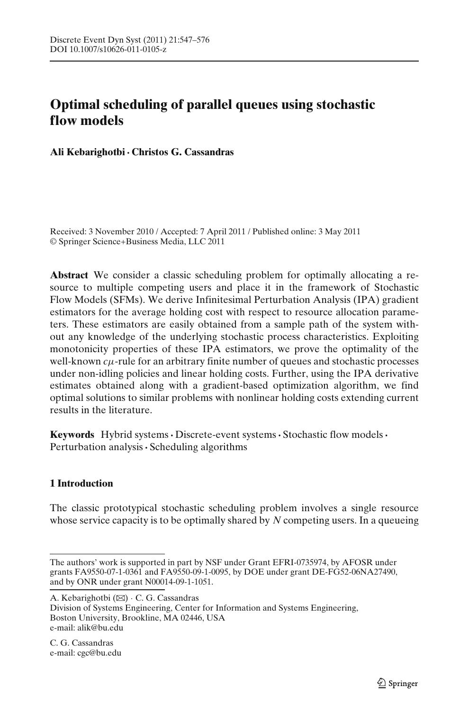# <span id="page-0-0"></span>**Optimal scheduling of parallel queues using stochastic flow models**

**Ali Kebarighotbi· Christos G. Cassandras**

Received: 3 November 2010 / Accepted: 7 April 2011 / Published online: 3 May 2011 © Springer Science+Business Media, LLC 2011

**Abstract** We consider a classic scheduling problem for optimally allocating a resource to multiple competing users and place it in the framework of Stochastic Flow Models (SFMs). We derive Infinitesimal Perturbation Analysis (IPA) gradient estimators for the average holding cost with respect to resource allocation parameters. These estimators are easily obtained from a sample path of the system without any knowledge of the underlying stochastic process characteristics. Exploiting monotonicity properties of these IPA estimators, we prove the optimality of the well-known *c*μ-rule for an arbitrary finite number of queues and stochastic processes under non-idling policies and linear holding costs. Further, using the IPA derivative estimates obtained along with a gradient-based optimization algorithm, we find optimal solutions to similar problems with nonlinear holding costs extending current results in the literature.

**Keywords** Hybrid systems**·** Discrete-event systems**·** Stochastic flow models**·** Perturbation analysis**·** Scheduling algorithms

# **1 Introduction**

The classic prototypical stochastic scheduling problem involves a single resource whose service capacity is to be optimally shared by *N* competing users. In a queueing

A. Kebarighotbi (B) · C. G. Cassandras

Division of Systems Engineering, Center for Information and Systems Engineering, Boston University, Brookline, MA 02446, USA e-mail: alik@bu.edu

C. G. Cassandras e-mail: cgc@bu.edu

The authors' work is supported in part by NSF under Grant EFRI-0735974, by AFOSR under grants FA9550-07-1-0361 and FA9550-09-1-0095, by DOE under grant DE-FG52-06NA27490, and by ONR under grant N00014-09-1-1051.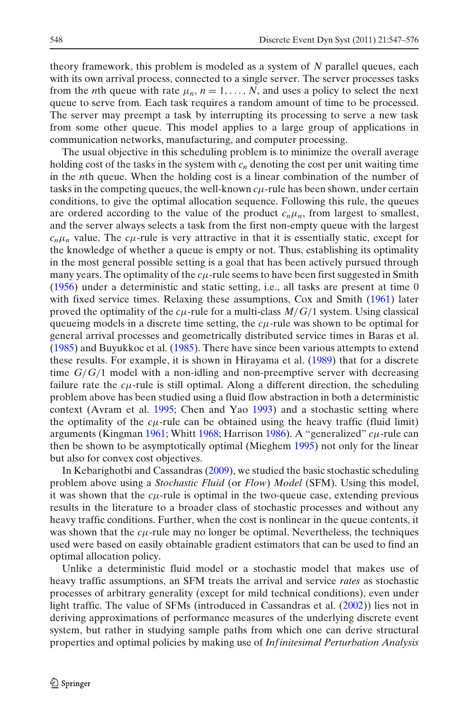theory framework, this problem is modeled as a system of *N* parallel queues, each with its own arrival process, connected to a single server. The server processes tasks from the *n*th queue with rate  $\mu_n$ ,  $n = 1, \ldots, N$ , and uses a policy to select the next queue to serve from. Each task requires a random amount of time to be processed. The server may preempt a task by interrupting its processing to serve a new task from some other queue. This model applies to a large group of applications in communication networks, manufacturing, and computer processing.

The usual objective in this scheduling problem is to minimize the overall average holding cost of the tasks in the system with  $c_n$  denoting the cost per unit waiting time in the *n*th queue. When the holding cost is a linear combination of the number of tasks in the competing queues, the well-known  $c\mu$ -rule has been shown, under certain conditions, to give the optimal allocation sequence. Following this rule, the queues are ordered according to the value of the product  $c_n\mu_n$ , from largest to smallest, and the server always selects a task from the first non-empty queue with the largest  $c_n\mu_n$  value. The  $c\mu$ -rule is very attractive in that it is essentially static, except for the knowledge of whether a queue is empty or not. Thus, establishing its optimality in the most general possible setting is a goal that has been actively pursued through many years. T[h](#page-28-0)e optimality of the  $c\mu$ -rule seems to have been first suggested in Smith [\(1956](#page-28-0)) under a deterministic and static setting, i.e., all tasks are present at time 0 wit[h](#page-28-0) fixed service times. Relaxing these assumptions, Cox and Smith [\(1961](#page-28-0)) later proved the optimality of the  $c\mu$ -rule for a multi-class  $M/G/1$  system. Using classical queueing models in a discrete time setting, the  $c<sub>\mu</sub>$ -rule was shown to be optimal for general arrival processes and geometrically distributed service times in Baras et al[.](#page-27-0) [\(1985](#page-27-0)) and Buyukkoc et al[.](#page-27-0) [\(1985\)](#page-27-0). There have since been various attempts to extend these results. For example, it is shown in Hirayama et al[.](#page-28-0) [\(1989](#page-28-0)) that for a discrete time *G*/*G*/1 model with a non-idling and non-preemptive server with decreasing failure rate the *c*μ-rule is still optimal. Along a different direction, the scheduling problem above has been studied using a fluid flow abstraction in both a deterministic context (Avram et al[.](#page-27-0) [1995](#page-27-0); Chen and Ya[o](#page-28-0) [1993\)](#page-28-0) and a stochastic setting where the optimality of the  $c\mu$ -rule can be obtained using the heavy traffic (fluid limit) arguments (Kingma[n](#page-28-0) [1961](#page-28-0); Whit[t](#page-28-0) [1968](#page-28-0); Harriso[n](#page-28-0) [1986\)](#page-28-0). A "generalized" *c*μ-rule can then be shown to be asymptotically optimal (Mieghe[m](#page-28-0) [1995\)](#page-28-0) not only for the linear but also for convex cost objectives.

In Kebarighotbi and Cassandra[s](#page-28-0) [\(2009\)](#page-28-0), we studied the basic stochastic scheduling problem above using a *Stochastic Fluid* (or *Flow*) *Model* (SFM). Using this model, it was shown that the  $c\mu$ -rule is optimal in the two-queue case, extending previous results in the literature to a broader class of stochastic processes and without any heavy traffic conditions. Further, when the cost is nonlinear in the queue contents, it was shown that the  $c\mu$ -rule may no longer be optimal. Nevertheless, the techniques used were based on easily obtainable gradient estimators that can be used to find an optimal allocation policy.

Unlike a deterministic fluid model or a stochastic model that makes use of heavy traffic assumptions, an SFM treats the arrival and service *rates* as stochastic processes of arbitrary generality (except for mild technical conditions), even under light traffic. The value of SFMs (introduced in Cassandras et al[.](#page-28-0) [\(2002\)](#page-28-0)) lies not in deriving approximations of performance measures of the underlying discrete event system, but rather in studying sample paths from which one can derive structural properties and optimal policies by making use of *Inf initesimal Perturbation Analysis*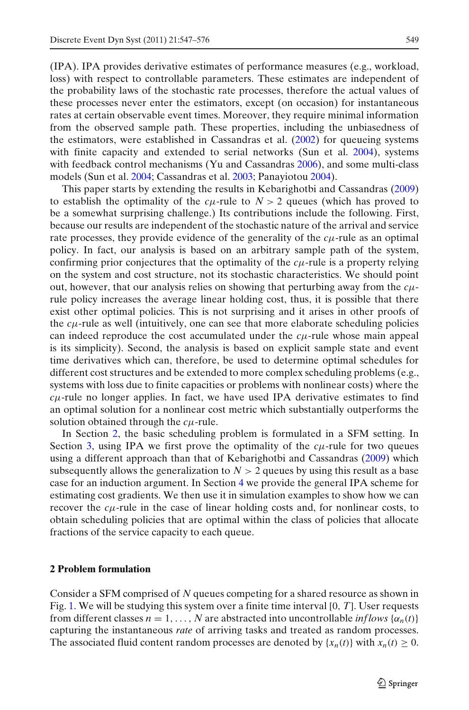<span id="page-2-0"></span>(IPA). IPA provides derivative estimates of performance measures (e.g., workload, loss) with respect to controllable parameters. These estimates are independent of the probability laws of the stochastic rate processes, therefore the actual values of these processes never enter the estimators, except (on occasion) for instantaneous rates at certain observable event times. Moreover, they require minimal information from the observed sample path. These properties, including the unbiasedness of the estimators, were established in Cassandras et al[.](#page-28-0) [\(2002\)](#page-28-0) for queueing systems with finite capacity and extended to serial networks (Sun et al[.](#page-28-0) [2004](#page-28-0)), systems with feedback control mechani[s](#page-28-0)ms (Yu and Cassandras [2006\)](#page-28-0), and some multi-class models (Sun et al[.](#page-28-0) [2004](#page-28-0); Cassandras et al[.](#page-28-0) [2003](#page-28-0); Panayioto[u](#page-28-0) [2004](#page-28-0)).

This paper starts by extending the results in Kebarighotbi and Cassandra[s](#page-28-0) [\(2009\)](#page-28-0) to establish the optimality of the  $c\mu$ -rule to  $N > 2$  queues (which has proved to be a somewhat surprising challenge.) Its contributions include the following. First, because our results are independent of the stochastic nature of the arrival and service rate processes, they provide evidence of the generality of the  $c\mu$ -rule as an optimal policy. In fact, our analysis is based on an arbitrary sample path of the system, confirming prior conjectures that the optimality of the *c*μ-rule is a property relying on the system and cost structure, not its stochastic characteristics. We should point out, however, that our analysis relies on showing that perturbing away from the *c*μrule policy increases the average linear holding cost, thus, it is possible that there exist other optimal policies. This is not surprising and it arises in other proofs of the  $c\mu$ -rule as well (intuitively, one can see that more elaborate scheduling policies can indeed reproduce the cost accumulated under the *c*μ-rule whose main appeal is its simplicity). Second, the analysis is based on explicit sample state and event time derivatives which can, therefore, be used to determine optimal schedules for different cost structures and be extended to more complex scheduling problems (e.g., systems with loss due to finite capacities or problems with nonlinear costs) where the  $c\mu$ -rule no longer applies. In fact, we have used IPA derivative estimates to find an optimal solution for a nonlinear cost metric which substantially outperforms the solution obtained through the *c*μ-rule.

In Section 2, the basic scheduling problem is formulated in a SFM setting. In Section [3,](#page-5-0) using IPA we first prove the optimality of the  $c\mu$ -rule for two queues using a different approach than that of Kebarighotbi and Cassandra[s](#page-28-0) [\(2009\)](#page-28-0) which subsequently allows the generalization to  $N > 2$  queues by using this result as a base case for an induction argument. In Section [4](#page-18-0) we provide the general IPA scheme for estimating cost gradients. We then use it in simulation examples to show how we can recover the  $c\mu$ -rule in the case of linear holding costs and, for nonlinear costs, to obtain scheduling policies that are optimal within the class of policies that allocate fractions of the service capacity to each queue.

## **2 Problem formulation**

Consider a SFM comprised of *N* queues competing for a shared resource as shown in Fig. [1.](#page-3-0) We will be studying this system over a finite time interval [0, *T*]. User requests from different classes  $n = 1, \ldots, N$  are abstracted into uncontrollable *inflows*  $\{\alpha_n(t)\}$ capturing the instantaneous *rate* of arriving tasks and treated as random processes. The associated fluid content random processes are denoted by  $\{x_n(t)\}\$ with  $x_n(t) \geq 0$ .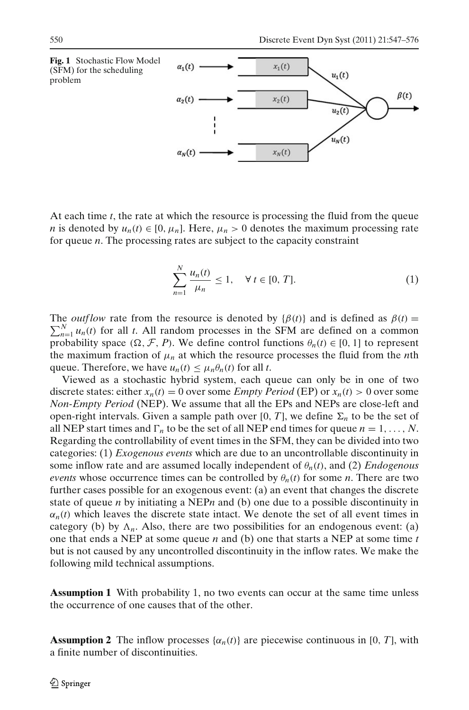<span id="page-3-0"></span>

At each time *t*, the rate at which the resource is processing the fluid from the queue *n* is denoted by  $u_n(t) \in [0, \mu_n]$ . Here,  $\mu_n > 0$  denotes the maximum processing rate for queue *n*. The processing rates are subject to the capacity constraint

$$
\sum_{n=1}^{N} \frac{u_n(t)}{\mu_n} \le 1, \quad \forall \ t \in [0, T]. \tag{1}
$$

The *outflow* rate from the resource is denoted by  $\{\beta(t)\}$  and is defined as  $\beta(t) = \sum_{n=1}^{N} \mu_n(t)$  for all t. All random processes in the SEM are defined on a common  $\sum_{n=1}^{N} u_n(t)$  for all *t*. All random processes in the SFM are defined on a common probability space  $(\Omega, \mathcal{F}, P)$ . We define control functions  $\theta_n(t) \in [0, 1]$  to represent the maximum fraction of  $\mu_n$  at which the resource processes the fluid from the *n*th queue. Therefore, we have  $u_n(t) \leq \mu_n \theta_n(t)$  for all *t*.

Viewed as a stochastic hybrid system, each queue can only be in one of two discrete states: either  $x_n(t) = 0$  over some *Empty Period* (EP) or  $x_n(t) > 0$  over some *Non-Empty Period* (NEP). We assume that all the EPs and NEPs are close-left and open-right intervals. Given a sample path over [0, *T*], we define  $\Sigma_n$  to be the set of all NEP start times and  $\Gamma_n$  to be the set of all NEP end times for queue  $n = 1, \ldots, N$ . Regarding the controllability of event times in the SFM, they can be divided into two categories: (1) *Exogenous events* which are due to an uncontrollable discontinuity in some inflow rate and are assumed locally independent of  $\theta_n(t)$ , and (2) *Endogenous events* whose occurrence times can be controlled by  $\theta_n(t)$  for some *n*. There are two further cases possible for an exogenous event: (a) an event that changes the discrete state of queue *n* by initiating a NEP*n* and (b) one due to a possible discontinuity in  $\alpha_n(t)$  which leaves the discrete state intact. We denote the set of all event times in category (b) by  $\Lambda_n$ . Also, there are two possibilities for an endogenous event: (a) one that ends a NEP at some queue *n* and (b) one that starts a NEP at some time *t* but is not caused by any uncontrolled discontinuity in the inflow rates. We make the following mild technical assumptions.

**Assumption 1** With probability 1, no two events can occur at the same time unless the occurrence of one causes that of the other.

**Assumption 2** The inflow processes  $\{\alpha_n(t)\}\$ are piecewise continuous in [0, *T*], with a finite number of discontinuities.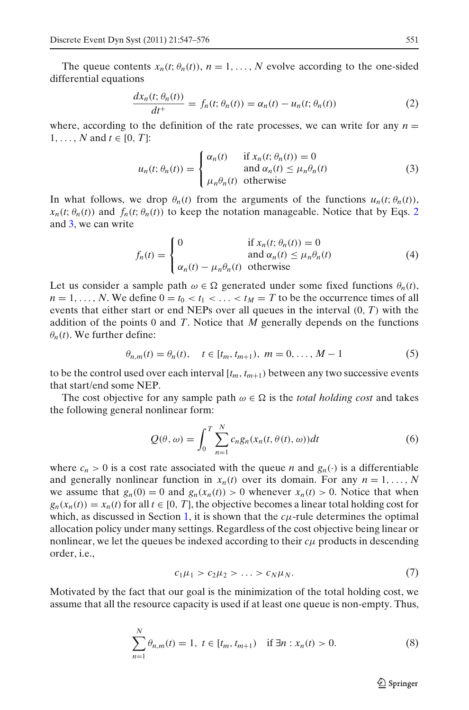<span id="page-4-0"></span>The queue contents  $x_n(t; \theta_n(t))$ ,  $n = 1, \ldots, N$  evolve according to the one-sided differential equations

$$
\frac{dx_n(t; \theta_n(t))}{dt^+} = f_n(t; \theta_n(t)) = \alpha_n(t) - u_n(t; \theta_n(t))
$$
\n(2)

where, according to the definition of the rate processes, we can write for any  $n =$ 1, ..., *N* and  $t \in [0, T]$ :

$$
u_n(t; \theta_n(t)) = \begin{cases} \alpha_n(t) & \text{if } x_n(t; \theta_n(t)) = 0\\ \text{and } \alpha_n(t) \le \mu_n \theta_n(t) \\ \mu_n \theta_n(t) & \text{otherwise} \end{cases}
$$
(3)

In what follows, we drop  $\theta_n(t)$  from the arguments of the functions  $u_n(t; \theta_n(t))$ ,  $x_n(t; \theta_n(t))$  and  $f_n(t; \theta_n(t))$  to keep the notation manageable. Notice that by Eqs. 2 and 3, we can write

$$
f_n(t) = \begin{cases} 0 & \text{if } x_n(t; \theta_n(t)) = 0\\ \text{and } \alpha_n(t) \le \mu_n \theta_n(t) \end{cases}
$$
(4)

Let us consider a sample path  $\omega \in \Omega$  generated under some fixed functions  $\theta_n(t)$ ,  $n = 1, \ldots, N$ . We define  $0 = t_0 < t_1 < \ldots < t_M = T$  to be the occurrence times of all events that either start or end NEPs over all queues in the interval (0, *T*) with the addition of the points 0 and *T*. Notice that *M* generally depends on the functions  $\theta_n(t)$ . We further define:

$$
\theta_{n,m}(t) = \theta_n(t), \quad t \in [t_m, t_{m+1}), \ m = 0, \dots, M-1 \tag{5}
$$

to be the control used over each interval  $[t_m, t_{m+1})$  between any two successive events that start/end some NEP.

The cost objective for any sample path  $\omega \in \Omega$  is the *total holding cost* and takes the following general nonlinear form:

$$
Q(\theta,\omega) = \int_0^T \sum_{n=1}^N c_n g_n(x_n(t,\theta(t),\omega)) dt
$$
 (6)

where  $c_n > 0$  is a cost rate associated with the queue *n* and  $g_n(\cdot)$  is a differentiable and generally nonlinear function in  $x_n(t)$  over its domain. For any  $n = 1, ..., N$ we assume that  $g_n(0) = 0$  and  $g_n(x_n(t)) > 0$  whenever  $x_n(t) > 0$ . Notice that when  $g_n(x_n(t)) = x_n(t)$  for all  $t \in [0, T]$ , the objective becomes a linear total holding cost for which, as discussed in Section [1,](#page-0-0) it is shown that the  $c\mu$ -rule determines the optimal allocation policy under many settings. Regardless of the cost objective being linear or nonlinear, we let the queues be indexed according to their  $c\mu$  products in descending order, i.e.,

$$
c_1\mu_1 > c_2\mu_2 > \ldots > c_N\mu_N. \tag{7}
$$

Motivated by the fact that our goal is the minimization of the total holding cost, we assume that all the resource capacity is used if at least one queue is non-empty. Thus,

$$
\sum_{n=1}^{N} \theta_{n,m}(t) = 1, \ t \in [t_m, t_{m+1}) \quad \text{if } \exists n : x_n(t) > 0. \tag{8}
$$

 $\mathcal{D}$  Springer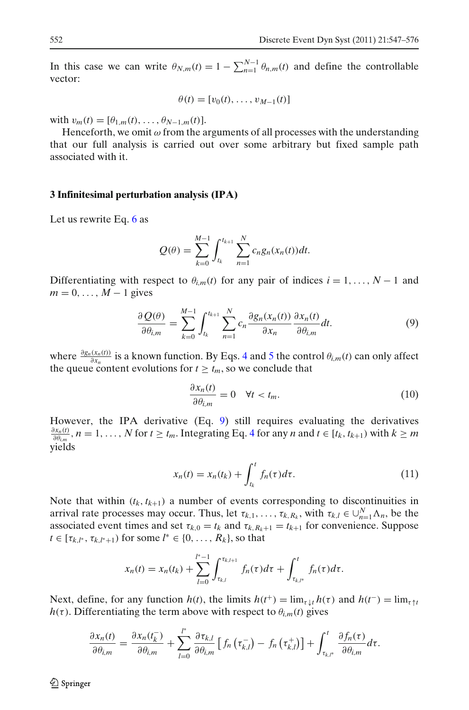<span id="page-5-0"></span>In this case we can write  $\theta_{N,m}(t) = 1 - \sum_{n=1}^{N-1} \theta_{n,m}(t)$  and define the controllable vector:

$$
\theta(t) = [v_0(t), \ldots, v_{M-1}(t)]
$$

with  $v_m(t) = [\theta_{1,m}(t), \ldots, \theta_{N-1,m}(t)].$ 

Henceforth, we omit  $\omega$  from the arguments of all processes with the understanding that our full analysis is carried out over some arbitrary but fixed sample path associated with it.

#### **3 Infinitesimal perturbation analysis (IPA)**

Let us rewrite Eq. [6](#page-4-0) as

$$
Q(\theta) = \sum_{k=0}^{M-1} \int_{t_k}^{t_{k+1}} \sum_{n=1}^{N} c_n g_n(x_n(t)) dt.
$$

Differentiating with respect to  $\theta_{i,m}(t)$  for any pair of indices  $i = 1, \ldots, N - 1$  and  $m = 0, \ldots, M - 1$  gives

$$
\frac{\partial Q(\theta)}{\partial \theta_{i,m}} = \sum_{k=0}^{M-1} \int_{t_k}^{t_{k+1}} \sum_{n=1}^{N} c_n \frac{\partial g_n(x_n(t))}{\partial x_n} \frac{\partial x_n(t)}{\partial \theta_{i,m}} dt.
$$
 (9)

where  $\frac{\partial g_n(x_n(t))}{\partial x_n}$  is a known function. By Eqs. [4](#page-4-0) and [5](#page-4-0) the control  $\theta_{i,m}(t)$  can only affect the queue content evolutions for  $t \geq t_m$ , so we conclude that

$$
\frac{\partial x_n(t)}{\partial \theta_{i,m}} = 0 \quad \forall t < t_m. \tag{10}
$$

However, the IPA derivative (Eq. 9) still requires evaluating the derivatives  $\frac{\partial x_n(t)}{\partial \theta_{i,m}}$ ,  $n = 1, \ldots, N$  for  $t \ge t_m$ . Integrating Eq. [4](#page-4-0) for any *n* and  $t \in [t_k, t_{k+1})$  with  $k \ge m$ yields

$$
x_n(t) = x_n(t_k) + \int_{t_k}^t f_n(\tau) d\tau.
$$
 (11)

Note that within  $(t_k, t_{k+1})$  a number of events corresponding to discontinuities in arrival rate processes may occur. Thus, let  $\tau_{k,1}, \ldots, \tau_{k,R_k}$ , with  $\tau_{k,l} \in \bigcup_{n=1}^{N} \Lambda_n$ , be the associated event times and set  $\tau_{k,0} = t_k$  and  $\tau_{k,R_k+1} = t_{k+1}$  for convenience. Suppose *t* ∈  $[\tau_{k,l^*}, \tau_{k,l^*+1})$  for some  $l^* \in \{0, ..., R_k\}$ , so that

$$
x_n(t) = x_n(t_k) + \sum_{l=0}^{l^* - 1} \int_{\tau_{k,l}}^{\tau_{k,l+1}} f_n(\tau) d\tau + \int_{\tau_{k,l^*}}^t f_n(\tau) d\tau.
$$

Next, define, for any function  $h(t)$ , the limits  $h(t^+) = \lim_{\tau \downarrow t} h(\tau)$  and  $h(t^-) = \lim_{\tau \uparrow t} h(\tau)$  $h(\tau)$ . Differentiating the term above with respect to  $\theta_{i,m}(t)$  gives

$$
\frac{\partial x_n(t)}{\partial \theta_{i,m}} = \frac{\partial x_n(t_k^-)}{\partial \theta_{i,m}} + \sum_{l=0}^{l^*} \frac{\partial \tau_{k,l}}{\partial \theta_{i,m}} \left[ f_n\left(\tau_{k,l}^-\right) - f_n\left(\tau_{k,l}^+\right) \right] + \int_{\tau_{k,l^*}}^t \frac{\partial f_n(\tau)}{\partial \theta_{i,m}} d\tau.
$$

 $\mathcal{D}$  Springer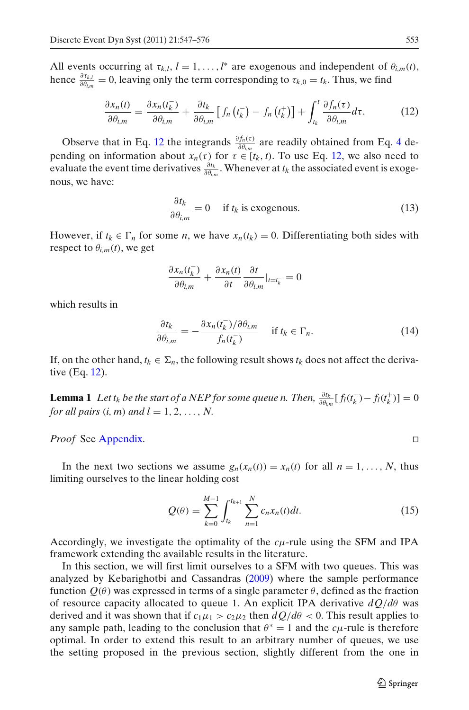<span id="page-6-0"></span>All events occurring at  $\tau_{k,l}$ ,  $l = 1, ..., l^*$  are exogenous and independent of  $\theta_{i,m}(t)$ , hence  $\frac{\partial \tau_{k,l}}{\partial \theta_{i,m}} = 0$ , leaving only the term corresponding to  $\tau_{k,0} = t_k$ . Thus, we find

$$
\frac{\partial x_n(t)}{\partial \theta_{i,m}} = \frac{\partial x_n(t_k^-)}{\partial \theta_{i,m}} + \frac{\partial t_k}{\partial \theta_{i,m}} \left[ f_n\left(t_k^-\right) - f_n\left(t_k^+\right) \right] + \int_{t_k}^t \frac{\partial f_n(\tau)}{\partial \theta_{i,m}} d\tau. \tag{12}
$$

Observe that in Eq. 12 the integrands  $\frac{\partial f_n(\tau)}{\partial \theta_{i,m}}$  are readily obtained from Eq. [4](#page-4-0) depending on information about  $x_n(\tau)$  for  $\tau \in [t_k, t)$ . To use Eq. 12, we also need to evaluate the event time derivatives  $\frac{\partial t_k}{\partial \theta_{i,m}}$ . Whenever at  $t_k$  the associated event is exogenous, we have:

$$
\frac{\partial t_k}{\partial \theta_{i,m}} = 0 \quad \text{if } t_k \text{ is exogenous.} \tag{13}
$$

However, if  $t_k \in \Gamma_n$  for some *n*, we have  $x_n(t_k) = 0$ . Differentiating both sides with respect to  $\theta_{i,m}(t)$ , we get

$$
\frac{\partial x_n(t_k^-)}{\partial \theta_{i,m}} + \frac{\partial x_n(t)}{\partial t} \frac{\partial t}{\partial \theta_{i,m}}|_{t=t_k^-} = 0
$$

which results in

$$
\frac{\partial t_k}{\partial \theta_{i,m}} = -\frac{\partial x_n(t_k^-)}{f_n(t_k^-)} \quad \text{if } t_k \in \Gamma_n. \tag{14}
$$

If, on the other hand,  $t_k \in \Sigma_n$ , the following result shows  $t_k$  does not affect the derivative (Eq. 12).

**Lemma 1** *Let t<sub>k</sub> be the start of a NEP for some queue n. Then,*  $\frac{\partial t_k}{\partial \theta_{i,m}}[f_l(t_k^-) - f_l(t_k^+)] = 0$ *for all pairs*  $(i, m)$  *and*  $l = 1, 2, \ldots, N$ .

## *Proof* See [Appendix.](#page-23-0)

In the next two sections we assume  $g_n(x_n(t)) = x_n(t)$  for all  $n = 1, \ldots, N$ , thus limiting ourselves to the linear holding cost

$$
Q(\theta) = \sum_{k=0}^{M-1} \int_{t_k}^{t_{k+1}} \sum_{n=1}^{N} c_n x_n(t) dt.
$$
 (15)

Accordingly, we investigate the optimality of the  $c\mu$ -rule using the SFM and IPA framework extending the available results in the literature.

In this section, we will first limit ourselves to a SFM with two queues. This was analyzed by Kebarighotbi and Cassandra[s](#page-28-0) [\(2009\)](#page-28-0) where the sample performance function  $Q(\theta)$  was expressed in terms of a single parameter  $\theta$ , defined as the fraction of resource capacity allocated to queue 1. An explicit IPA derivative *dQ*/*d*θ was derived and it was shown that if  $c_1\mu_1 > c_2\mu_2$  then  $dQ/d\theta < 0$ . This result applies to any sample path, leading to the conclusion that  $\theta^* = 1$  and the *c*<sub>μ</sub>-rule is therefore optimal. In order to extend this result to an arbitrary number of queues, we use the setting proposed in the previous section, slightly different from the one in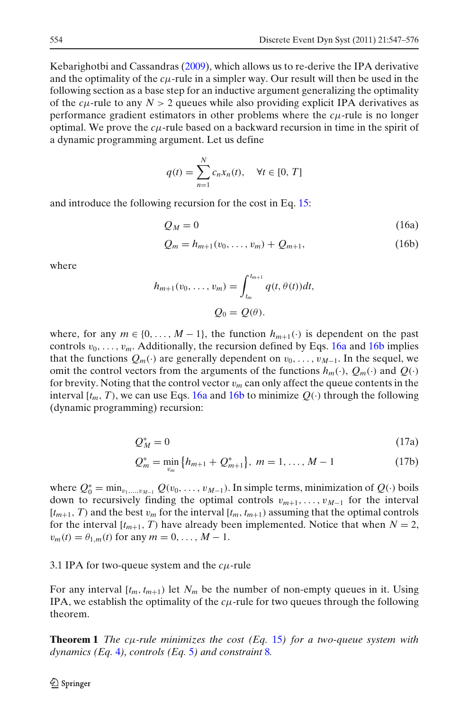<span id="page-7-0"></span>Kebarighotbi and Cassandra[s](#page-28-0) [\(2009\)](#page-28-0), which allows us to re-derive the IPA derivative and the optimality of the *c*μ-rule in a simpler way. Our result will then be used in the following section as a base step for an inductive argument generalizing the optimality of the  $c\mu$ -rule to any  $N > 2$  queues while also providing explicit IPA derivatives as performance gradient estimators in other problems where the *c*μ-rule is no longer optimal. We prove the *c*μ-rule based on a backward recursion in time in the spirit of a dynamic programming argument. Let us define

$$
q(t) = \sum_{n=1}^{N} c_n x_n(t), \quad \forall t \in [0, T]
$$

and introduce the following recursion for the cost in Eq. [15:](#page-6-0)

$$
Q_M = 0 \tag{16a}
$$

$$
Q_m = h_{m+1}(v_0, \dots, v_m) + Q_{m+1}, \tag{16b}
$$

where

$$
h_{m+1}(v_0,\ldots,v_m)=\int_{t_m}^{t_{m+1}}q(t,\theta(t))dt,
$$
  

$$
Q_0=Q(\theta).
$$

where, for any  $m \in \{0, \ldots, M-1\}$ , the function  $h_{m+1}(\cdot)$  is dependent on the past controls  $v_0, \ldots, v_m$ . Additionally, the recursion defined by Eqs. 16a and 16b implies that the functions  $Q_m(\cdot)$  are generally dependent on  $v_0, \ldots, v_{M-1}$ . In the sequel, we omit the control vectors from the arguments of the functions  $h_m(\cdot), Q_m(\cdot)$  and  $Q(\cdot)$ for brevity. Noting that the control vector v*<sup>m</sup>* can only affect the queue contents in the interval  $[t_m, T)$ , we can use Eqs. 16a and 16b to minimize  $Q(\cdot)$  through the following (dynamic programming) recursion:

$$
Q_M^* = 0 \tag{17a}
$$

$$
Q_m^* = \min_{v_m} \{ h_{m+1} + Q_{m+1}^* \}, \ m = 1, \dots, M-1 \tag{17b}
$$

where  $Q_0^* = \min_{v_1,\dots,v_{M-1}} Q(v_0,\dots,v_{M-1})$ . In simple terms, minimization of  $Q(\cdot)$  boils down to recursively finding the optimal controls v*m*+1,...,v*M*−<sup>1</sup> for the interval  $[t_{m+1}, T]$  and the best  $v_m$  for the interval  $[t_m, t_{m+1}]$  assuming that the optimal controls for the interval  $[t_{m+1}, T)$  have already been implemented. Notice that when  $N = 2$ ,  $v_m(t) = \theta_{1,m}(t)$  for any  $m = 0, ..., M - 1$ .

3.1 IPA for two-queue system and the *c*μ-rule

For any interval  $[t_m, t_{m+1})$  let  $N_m$  be the number of non-empty queues in it. Using IPA, we establish the optimality of the  $c\mu$ -rule for two queues through the following theorem.

**Theorem 1** *The c*μ*-rule minimizes the cost (Eq.* [15](#page-6-0)*) for a two-queue system with dynamics (Eq.* [4](#page-4-0)*), controls (Eq.* [5](#page-4-0)*) and constraint* [8](#page-4-0)*.*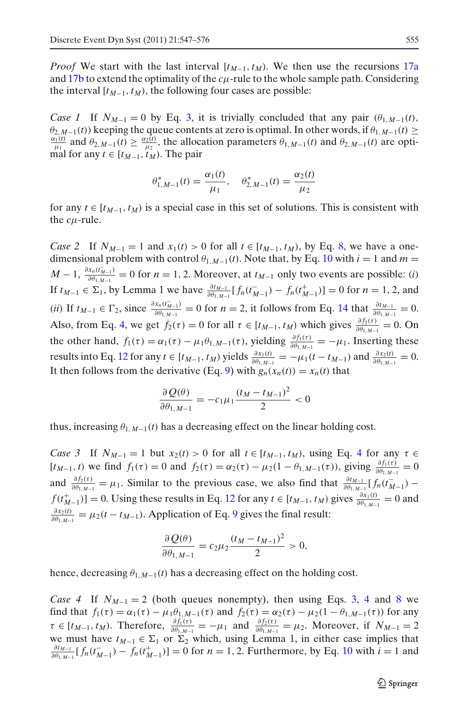*Proof* We start with the last interval  $[t_{M-1}, t_M)$ . We then use the recursions [17a](#page-7-0) and [17b](#page-7-0) to extend the optimality of the *c*μ-rule to the whole sample path. Considering the interval  $[t_{M-1}, t_M)$ , the following four cases are possible:

*Case 1* If  $N_{M-1} = 0$  by Eq. [3,](#page-4-0) it is trivially concluded that any pair  $(\theta_{1,M-1}(t), \theta_{2,M-1}(t))$  keeping the queue contents at zero is optimal. In other words, if  $\theta_{1,M-1}(t) \ge$  $\theta_{2,M-1}(t)$  keeping the queue contents at zero is optimal. In other words, if  $\theta_{1,M-1}(t) \ge \frac{\alpha_1(t)}{\mu_1}$  and  $\theta_{2,M-1}(t) \ge \frac{\alpha_2(t)}{\mu_2}$ , the allocation parameters  $\theta_{1,M-1}(t)$  and  $\theta_{2,M-1}(t)$  are optimal for any  $t \in [t_{M-1}, t_M)$ . The pair

$$
\theta_{1,M-1}^*(t) = \frac{\alpha_1(t)}{\mu_1}, \quad \theta_{2,M-1}^*(t) = \frac{\alpha_2(t)}{\mu_2}
$$

for any  $t \in [t_{M-1}, t_M)$  is a special case in this set of solutions. This is consistent with the  $c\mu$ -rule.

*Case 2* If  $N_{M-1} = 1$  and  $x_1(t) > 0$  for all  $t \in [t_{M-1}, t_M)$ , by Eq. [8,](#page-4-0) we have a onedimensional problem with control  $\theta_{1,M-1}(t)$ . Note that, by Eq. [10](#page-5-0) with  $i = 1$  and  $m =$  $M-1$ ,  $\frac{\partial x_n(t_{M-1}^-)}{\partial \theta_{1,M-1}} = 0$  for  $n = 1, 2$ . Moreover, at  $t_{M-1}$  only two events are possible: (*i*) If *t<sub>M−1</sub>* ∈ Σ<sub>1</sub>, by Lemma 1 we have  $\frac{\partial t_{M-1}}{\partial \theta_{1,M-1}} [f_n(t_{M-1}^-) - f_n(t_{M-1}^+)] = 0$  for *n* = 1, 2, and (*ii*) If  $t_{M-1} \in \Gamma_2$ , since  $\frac{\partial x_n(t_{M-1}^-)}{\partial \theta_{1,M-1}} = 0$  for  $n = 2$ , it follows from Eq. [14](#page-6-0) that  $\frac{\partial t_{M-1}}{\partial \theta_{1,M-1}} = 0$ . Also, from Eq. [4,](#page-4-0) we get  $f_2(\tau) = 0$  for all  $\tau \in [t_{M-1}, t_M)$  which gives  $\frac{\partial f_2(\tau)}{\partial \theta_{1,M-1}} = 0$ . On the other hand,  $f_1(\tau) = \alpha_1(\tau) - \mu_1 \theta_{1,M-1}(\tau)$ , yielding  $\frac{\partial f_1(\tau)}{\partial \theta_{1,M-1}} = -\mu_1$ . Inserting these results into Eq. [12](#page-6-0) for any  $t \in [t_{M-1}, t_M)$  yields  $\frac{\partial x_1(t)}{\partial \theta_{1,M-1}} = -\mu_1(t - t_{M-1})$  and  $\frac{\partial x_2(t)}{\partial \theta_{1,M-1}} = 0$ . It then follows from the derivative (Eq. [9\)](#page-5-0) with  $g_n(x_n(t)) = x_n(t)$  that

$$
\frac{\partial Q(\theta)}{\partial \theta_{1,M-1}} = -c_1 \mu_1 \frac{(t_M - t_{M-1})^2}{2} < 0
$$

thus, increasing  $\theta_{1,M-1}(t)$  has a decreasing effect on the linear holding cost.

*Case 3* If  $N_{M-1} = 1$  but  $x_2(t) > 0$  for all  $t \in [t_{M-1}, t_M)$ , using Eq. [4](#page-4-0) for any  $\tau \in$  $[t_{M-1}, t)$  we find  $f_1(\tau) = 0$  and  $f_2(\tau) = \alpha_2(\tau) - \mu_2(1 - \theta_{1,M-1}(\tau))$ , giving  $\frac{\partial f_1(\tau)}{\partial \theta_{1,M-1}} = 0$ and  $\frac{\partial f_2(\tau)}{\partial \theta_{1,M-1}} = \mu_1$ . Similar to the previous case, we also find that  $\frac{\partial f_{M-1}}{\partial \theta_{1,M-1}}[f_n(t_{M-1})$  $f(t_{M-1}^+)$ ] = 0. Using these results in Eq. [12](#page-6-0) for any  $t \in [t_{M-1}, t_M)$  gives  $\frac{\partial x_1(t)}{\partial \theta_{1,M-1}} = 0$  and  $\frac{\partial x_2(t)}{\partial \theta_{1,M-1}} = \mu_2(t - t_{M-1})$ . Application of Eq. [9](#page-5-0) gives the final result:

$$
\frac{\partial Q(\theta)}{\partial \theta_{1,M-1}} = c_2 \mu_2 \frac{(t_M - t_{M-1})^2}{2} > 0,
$$

hence, decreasing  $\theta_{1,M-1}(t)$  has a decreasing effect on the holding cost.

*Case [4](#page-4-0)* If  $N_{M-1} = 2$  (both queues nonempty), then using Eqs. [3,](#page-4-0) 4 and [8](#page-4-0) we find that  $f_1(\tau) = \alpha_1(\tau) - \mu_1 \theta_{1,M-1}(\tau)$  and  $f_2(\tau) = \alpha_2(\tau) - \mu_2(1 - \theta_{1,M-1}(\tau))$  for any  $\tau \in [t_{M-1}, t_M)$ . Therefore,  $\frac{\partial f_1(\tau)}{\partial \theta_{1,M-1}} = -\mu_1$  and  $\frac{\partial f_2(\tau)}{\partial \theta_{1,M-1}} = \mu_2$ . Moreover, if  $N_{M-1} = 2$ we must have  $t_{M-1} \in \Sigma_1$  or  $\Sigma_2$  which, using Lemma 1, in either case implies that  $\frac{\partial t_{M-1}}{\partial \theta_{1,M-1}} [f_n(t_{M-1}^-) - f_n(t_{M-1}^+)] = 0$  for  $n = 1, 2$ . Furthermore, by Eq. [10](#page-5-0) with  $i = 1$  and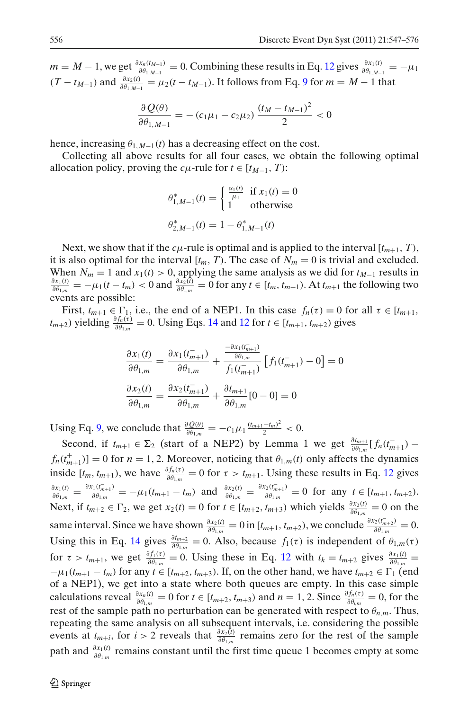$m = M - 1$ , we get  $\frac{\partial x_n(t_{M-1})}{\partial \theta_{1,M-1}} = 0$ . Combining these results in Eq. [12](#page-6-0) gives  $\frac{\partial x_1(t)}{\partial \theta_{1,M-1}} = -\mu_1$  $(T - t_{M-1})$  and  $\frac{\partial x_2(t)}{\partial \theta_{1,M-1}} = \mu_2(t - t_{M-1})$ . It follows from Eq. [9](#page-5-0) for  $m = M - 1$  that

$$
\frac{\partial Q(\theta)}{\partial \theta_{1,M-1}} = -(c_1\mu_1 - c_2\mu_2) \frac{(t_M - t_{M-1})^2}{2} < 0
$$

hence, increasing  $\theta_{1,M-1}(t)$  has a decreasing effect on the cost.

Collecting all above results for all four cases, we obtain the following optimal allocation policy, proving the *c*<sub>μ</sub>-rule for  $t \in [t_{M-1}, T)$ :

$$
\theta_{1,M-1}^*(t) = \begin{cases} \frac{\alpha_1(t)}{\mu_1} & \text{if } x_1(t) = 0\\ 1 & \text{otherwise} \end{cases}
$$

$$
\theta_{2,M-1}^*(t) = 1 - \theta_{1,M-1}^*(t)
$$

Next, we show that if the  $c\mu$ -rule is optimal and is applied to the interval  $[t_{m+1}, T)$ , it is also optimal for the interval  $[t_m, T)$ . The case of  $N_m = 0$  is trivial and excluded. When  $N_m = 1$  and  $x_1(t) > 0$ , applying the same analysis as we did for  $t_{M-1}$  results in  $\frac{\partial x_1(t)}{\partial \theta_{1,m}} = -\mu_1(t - t_m) < 0$  and  $\frac{\partial x_2(t)}{\partial \theta_{1,m}} = 0$  for any  $t \in [t_m, t_{m+1})$ . At  $t_{m+1}$  the following two events are possible:

First,  $t_{m+1} \in \Gamma_1$ , i.e., the end of a NEP1. In this case  $f_n(\tau) = 0$  for all  $\tau \in [t_{m+1},$  $(t_{m+2})$  yielding  $\frac{\partial f_n(\tau)}{\partial \theta_{1,m}} = 0$ . Using Eqs. [14](#page-6-0) and [12](#page-6-0) for  $t \in [t_{m+1}, t_{m+2})$  gives

$$
\frac{\partial x_1(t)}{\partial \theta_{1,m}} = \frac{\partial x_1(t_{m+1})}{\partial \theta_{1,m}} + \frac{\frac{-\partial x_1(t_{m+1})}{\partial \theta_{1,m}}}{f_1(t_{m+1})} \left[ f_1(t_{m+1}) - 0 \right] = 0
$$
  

$$
\frac{\partial x_2(t)}{\partial \theta_{1,m}} = \frac{\partial x_2(t_{m+1})}{\partial \theta_{1,m}} + \frac{\partial t_{m+1}}{\partial \theta_{1,m}} [0 - 0] = 0
$$

Using Eq. [9,](#page-5-0) we conclude that  $\frac{\partial Q(\theta)}{\partial \theta_{1,m}} = -c_1 \mu_1 \frac{(t_{m+1}-t_m)^2}{2} < 0.$ 

Second, if  $t_{m+1} \in \Sigma_2$  (start of a NEP2) by Lemma 1 we get  $\frac{\partial t_{m+1}}{\partial \theta_{1,m}} [f_n(t_{m+1})$  $f_n(t_{m+1}^+)$ ] = 0 for *n* = 1, 2. Moreover, noticing that  $\theta_{1,m}(t)$  only affects the dynamics inside  $[t_m, t_{m+1})$ , we have  $\frac{\partial f_n(\tau)}{\partial \theta_{1,m}} = 0$  for  $\tau > t_{m+1}$ . Using these results in Eq. [12](#page-6-0) gives  $\frac{\partial x_1(t)}{\partial \theta_{1,m}} = \frac{\partial x_1(t_{m+1}^-)}{\partial \theta_{1,m}} = -\mu_1(t_{m+1} - t_m)$  and  $\frac{\partial x_2(t)}{\partial \theta_{1,m}} = \frac{\partial x_2(t_{m+1}^-)}{\partial \theta_{1,m}} = 0$  for any  $t \in [t_{m+1}, t_{m+2})$ . Next, if  $t_{m+2} \in \Gamma_2$ , we get  $x_2(t) = 0$  for  $t \in [t_{m+2}, t_{m+3})$  which yields  $\frac{\partial x_2(t)}{\partial \theta_{1,m}} = 0$  on the same interval. Since we have shown  $\frac{\partial x_2(t)}{\partial \theta_{1,m}} = 0$  in  $[t_{m+1}, t_{m+2})$ , we conclude  $\frac{\partial x_2(t_{m+2})}{\partial \theta_{1,m}} = 0$ . Using this in Eq. [14](#page-6-0) gives  $\frac{\partial t_{m+2}}{\partial \theta_{1,m}} = 0$ . Also, because  $f_1(\tau)$  is independent of  $\theta_{1,m}(\tau)$ for  $\tau > t_{m+1}$ , we get  $\frac{\partial f_1(\tau)}{\partial \theta_{1,m}} = 0$ . Using these in Eq. [12](#page-6-0) with  $t_k = t_{m+2}$  gives  $\frac{\partial x_1(t)}{\partial \theta_{1,m}} =$  $-\mu_1(t_{m+1} - t_m)$  for any  $t \in [t_{m+2}, t_{m+3})$ . If, on the other hand, we have  $t_{m+2} \in \Gamma_1$  (end of a NEP1), we get into a state where both queues are empty. In this case simple calculations reveal  $\frac{\partial x_n(t)}{\partial \theta_{1,m}} = 0$  for  $t \in [t_{m+2}, t_{m+3})$  and  $n = 1, 2$ . Since  $\frac{\partial f_n(\tau)}{\partial \theta_{i,m}} = 0$ , for the rest of the sample path no perturbation can be generated with respect to  $\theta_{n,m}$ . Thus, repeating the same analysis on all subsequent intervals, i.e. considering the possible events at  $t_{m+i}$ , for  $i > 2$  reveals that  $\frac{\partial x_2(t)}{\partial \theta_{1,m}}$  remains zero for the rest of the sample path and  $\frac{\partial x_1(t)}{\partial \theta_{1,m}}$  remains constant until the first time queue 1 becomes empty at some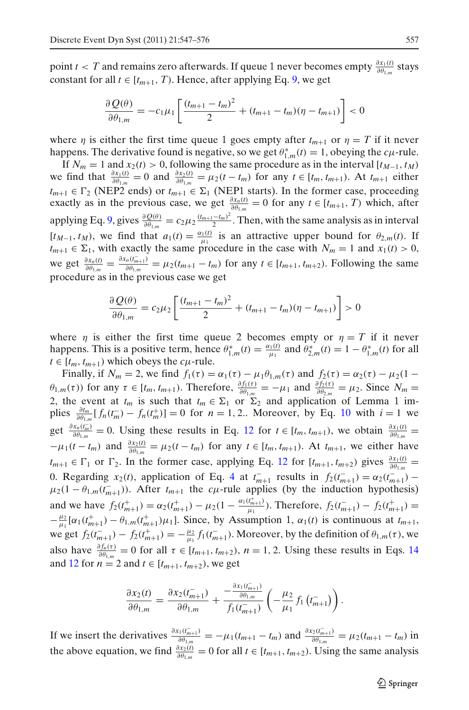point *t* < *T* and remains zero afterwards. If queue 1 never becomes empty  $\frac{\partial x_1(t)}{\partial \theta_{1,m}}$  stays constant for all  $t \in [t_{m+1}, T)$ . Hence, after applying Eq. [9,](#page-5-0) we get

$$
\frac{\partial Q(\theta)}{\partial \theta_{1,m}} = -c_1 \mu_1 \left[ \frac{(t_{m+1} - t_m)^2}{2} + (t_{m+1} - t_m)(\eta - t_{m+1}) \right] < 0
$$

where  $\eta$  is either the first time queue 1 goes empty after  $t_{m+1}$  or  $\eta = T$  if it never happens. The derivative found is negative, so we get  $\theta_{1,m}^*(t) = 1$ , obeying the *c*<sub>H</sub>-rule.

If  $N_m = 1$  and  $x_2(t) > 0$ , following the same procedure as in the interval [ $t_{M-1}, t_M$ ] we find that  $\frac{\partial x_1(t)}{\partial \theta_{1,m}} = 0$  and  $\frac{\partial x_2(t)}{\partial \theta_{1,m}} = \mu_2(t - t_m)$  for any  $t \in [t_m, t_{m+1})$ . At  $t_{m+1}$  either  $t_{m+1}$  ∈  $\Gamma_2$  (NEP2 ends) or  $t_{m+1}$  ∈  $\Sigma_1$  (NEP1 starts). In the former case, proceeding exactly as in the previous case, we get  $\frac{\partial x_n(t)}{\partial \theta_{1,m}} = 0$  for any  $t \in [t_{m+1}, T)$  which, after applying Eq. [9,](#page-5-0) gives  $\frac{\partial Q(\theta)}{\partial \theta_{1,m}} = c_2 \mu_2 \frac{(t_{m+1}-t_m)^2}{2}$ . Then, with the same analysis as in interval  $[t_{M-1}, t_M]$ , we find that  $a_1(t) = \frac{a_1(t)}{\mu_1}$  is an attractive upper bound for  $\theta_{2,m}(t)$ . If  $t_{m+1}$  ∈  $\Sigma_1$ , with exactly the same procedure in the case with  $N_m = 1$  and  $x_1(t) > 0$ , we get  $\frac{\partial x_n(t)}{\partial \theta_{1,m}} = \frac{\partial x_n(t_{m+1})}{\partial \theta_{1,m}} = \mu_2(t_{m+1} - t_m)$  for any  $t \in [t_{m+1}, t_{m+2})$ . Following the same procedure as in the previous case we get

$$
\frac{\partial Q(\theta)}{\partial \theta_{1,m}} = c_2 \mu_2 \left[ \frac{(t_{m+1} - t_m)^2}{2} + (t_{m+1} - t_m)(\eta - t_{m+1}) \right] > 0
$$

where  $\eta$  is either the first time queue 2 becomes empty or  $\eta = T$  if it never happens. This is a positive term, hence  $\theta_{1,m}^*(t) = \frac{\alpha_1(t)}{\mu_1}$  and  $\theta_{2,m}^*(t) = 1 - \theta_{1,m}^*(t)$  for all  $t \in [t_m, t_{m+1})$  which obeys the *c*<sub>μ</sub>-rule.

Finally, if  $N_m = 2$ , we find  $f_1(\tau) = \alpha_1(\tau) - \mu_1 \theta_{1,m}(\tau)$  and  $f_2(\tau) = \alpha_2(\tau) - \mu_2(1 - \tau)$  $\theta_{1,m}(\tau)$  for any  $\tau \in [t_m, t_{m+1})$ . Therefore,  $\frac{\partial f_1(\tau)}{\partial \theta_{1,m}} = -\mu_1$  and  $\frac{\partial f_2(\tau)}{\partial \theta_{2,m}} = \mu_2$ . Since  $N_m =$ 2, the event at  $t_m$  is such that  $t_m \in \Sigma_1$  or  $\Sigma_2$  and application of Lemma 1 implies  $\frac{\partial t_m}{\partial \theta_{1,m}}[f_n(t_m^-) - f_n(t_m^+)] = 0$  for  $n = 1, 2...$  Moreover, by Eq. [10](#page-5-0) with  $i = 1$  we get  $\frac{\partial x_n(t_m^-)}{\partial \theta_{1,m}} = 0$ . Using these results in Eq. [12](#page-6-0) for  $t \in [t_m, t_{m+1})$ , we obtain  $\frac{\partial x_1(t)}{\partial \theta_{1,m}} =$  $-\mu_1(t - t_m)$  and  $\frac{\partial x_2(t)}{\partial \theta_{1,m}} = \mu_2(t - t_m)$  for any  $t \in [t_m, t_{m+1})$ . At  $t_{m+1}$ , we either have  $t_{m+1} \in \Gamma_1$  or  $\Gamma_2$ . In the former case, applying Eq. [12](#page-6-0) for  $[t_{m+1}, t_{m+2})$  gives  $\frac{\partial x_1(t)}{\partial \theta_{1,m}} =$ 0. Regarding  $x_2(t)$ , application of Eq. [4](#page-4-0) at  $t_{m+1}^-$  results in  $f_2(t_{m+1}^-) = \alpha_2(t_{m+1}^-)$  $\mu_2(1 - \theta_{1,m}(t_{m+1}^-))$ . After  $t_{m+1}$  the *c*<sub>µ</sub>-rule applies (by the induction hypothesis) and we have  $f_2(t_{m+1}^+) = \alpha_2(t_{m+1}^+) - \mu_2(1 - \frac{\alpha_1(t_{m+1}^+)}{\mu_1})$ . Therefore,  $f_2(t_{m+1}^-) - f_2(t_{m+1}^+) =$  $-\frac{\mu_2}{\mu_1}[\alpha_1(t_{m+1}^+) - \theta_{1,m}(t_{m+1}^+) \mu_1]$ . Since, by Assumption 1,  $\alpha_1(t)$  is continuous at  $t_{m+1}$ , we get  $f_2(t_{m+1}^-) - f_2(t_{m+1}^+) = -\frac{\mu_2}{\mu_1} f_1(t_{m+1}^-)$ . Moreover, by the definition of  $\theta_{1,m}(\tau)$ , we also have  $\frac{\partial f_n(\tau)}{\partial \theta_{1,m}} = 0$  for all  $\tau \in [t_{m+1}, t_{m+2}), n = 1, 2$ . Using these results in Eqs. [14](#page-6-0) and [12](#page-6-0) for  $n = 2$  and  $t \in [t_{m+1}, t_{m+2})$ , we get

$$
\frac{\partial x_2(t)}{\partial \theta_{1,m}} = \frac{\partial x_2(t_{m+1}^-)}{\partial \theta_{1,m}} + \frac{-\frac{\partial x_1(t_{m+1}^-)}{\partial \theta_{1,m}}}{f_1(t_{m+1}^-)} \left(-\frac{\mu_2}{\mu_1} f_1(t_{m+1}^-)\right).
$$

If we insert the derivatives  $\frac{\partial x_1(t_{m+1})}{\partial \theta_{1,m}} = -\mu_1(t_{m+1} - t_m)$  and  $\frac{\partial x_2(t_{m+1})}{\partial \theta_{1,m}} = \mu_2(t_{m+1} - t_m)$  in the above equation, we find  $\frac{\partial x_2(t)}{\partial \theta_{1,m}} = 0$  for all  $t \in [t_{m+1}, t_{m+2})$ . Using the same analysis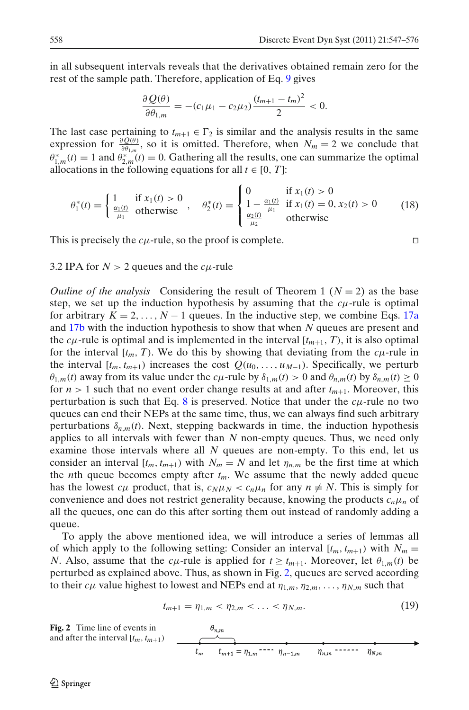<span id="page-11-0"></span>in all subsequent intervals reveals that the derivatives obtained remain zero for the rest of the sample path. Therefore, application of Eq. [9](#page-5-0) gives

$$
\frac{\partial Q(\theta)}{\partial \theta_{1,m}} = -(c_1\mu_1 - c_2\mu_2) \frac{(t_{m+1} - t_m)^2}{2} < 0.
$$

The last case pertaining to  $t_{m+1} \in \Gamma_2$  is similar and the analysis results in the same expression for  $\frac{\partial Q(\theta)}{\partial \theta_{1,m}}$ , so it is omitted. Therefore, when  $N_m = 2$  we conclude that  $\theta_{1,m}^*(t) = 1$  and  $\theta_{2,m}^*(t) = 0$ . Gathering all the results, one can summarize the optimal allocations in the following equations for all  $t \in [0, T]$ :

$$
\theta_1^*(t) = \begin{cases} 1 & \text{if } x_1(t) > 0 \\ \frac{\alpha_1(t)}{\mu_1} & \text{otherwise} \end{cases}, \quad \theta_2^*(t) = \begin{cases} 0 & \text{if } x_1(t) > 0 \\ 1 - \frac{\alpha_1(t)}{\mu_1} & \text{if } x_1(t) = 0, x_2(t) > 0 \\ \frac{\alpha_2(t)}{\mu_2} & \text{otherwise} \end{cases}
$$
(18)

This is precisely the  $c\mu$ -rule, so the proof is complete.

3.2 IPA for  $N > 2$  queues and the  $c\mu$ -rule

*Outline of the analysis* Considering the result of Theorem 1 ( $N = 2$ ) as the base step, we set up the induction hypothesis by assuming that the  $c<sub>\mu</sub>$ -rule is optimal for arbitrary  $K = 2, \ldots, N - 1$  queues. In the inductive step, we combine Eqs. [17a](#page-7-0) and [17b](#page-7-0) with the induction hypothesis to show that when *N* queues are present and the  $c\mu$ -rule is optimal and is implemented in the interval  $[t_{m+1}, T)$ , it is also optimal for the interval  $[t_m, T)$ . We do this by showing that deviating from the  $c\mu$ -rule in the interval  $[t_m, t_{m+1})$  increases the cost  $Q(u_0, \ldots, u_{M-1})$ . Specifically, we perturb  $\theta_{1,m}(t)$  away from its value under the *c*<sub>μ</sub>-rule by  $\delta_{1,m}(t) > 0$  and  $\theta_{n,m}(t)$  by  $\delta_{n,m}(t) \ge 0$ for  $n > 1$  such that no event order change results at and after  $t_{m+1}$ . Moreover, this perturbation is such that Eq. [8](#page-4-0) is preserved. Notice that under the  $c\mu$ -rule no two queues can end their NEPs at the same time, thus, we can always find such arbitrary perturbations  $\delta_{n,m}(t)$ . Next, stepping backwards in time, the induction hypothesis applies to all intervals with fewer than *N* non-empty queues. Thus, we need only examine those intervals where all *N* queues are non-empty. To this end, let us consider an interval  $[t_m, t_{m+1})$  with  $N_m = N$  and let  $\eta_{n,m}$  be the first time at which the *n*th queue becomes empty after  $t_m$ . We assume that the newly added queue has the lowest  $c\mu$  product, that is,  $c_N\mu_N < c_n\mu_n$  for any  $n \neq N$ . This is simply for convenience and does not restrict generality because, knowing the products  $c_n\mu_n$  of all the queues, one can do this after sorting them out instead of randomly adding a queue.

To apply the above mentioned idea, we will introduce a series of lemmas all of which apply to the following setting: Consider an interval  $[t_m, t_{m+1})$  with  $N_m =$ *N*. Also, assume that the *c*<sub>μ</sub>-rule is applied for  $t \geq t_{m+1}$ . Moreover, let  $\theta_{1,m}(t)$  be perturbed as explained above. Thus, as shown in Fig. 2, queues are served according to their  $c\mu$  value highest to lowest and NEPs end at  $\eta_{1,m}, \eta_{2,m}, \ldots, \eta_{N,m}$  such that

$$
t_{m+1} = \eta_{1,m} < \eta_{2,m} < \ldots < \eta_{N,m}.\tag{19}
$$

**Fig. 2** Time line of events in  
and after the interval 
$$
[t_m, t_{m+1})
$$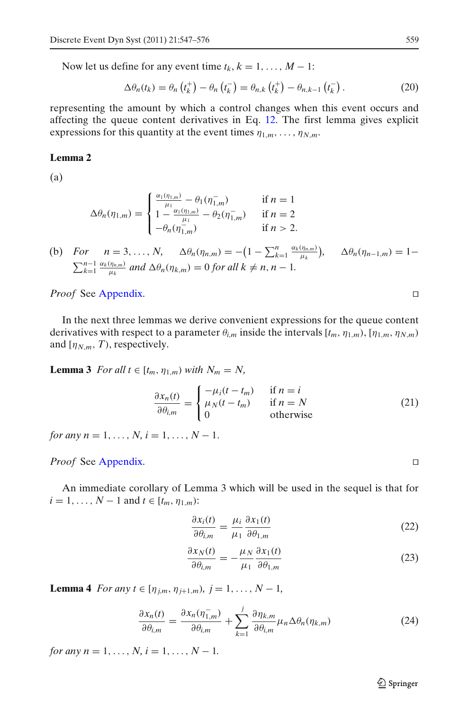<span id="page-12-0"></span>Now let us define for any event time  $t_k$ ,  $k = 1, \ldots, M - 1$ :

$$
\Delta \theta_n(t_k) = \theta_n \left(t_k^+\right) - \theta_n \left(t_k^-\right) = \theta_{n,k} \left(t_k^+\right) - \theta_{n,k-1} \left(t_k^-\right). \tag{20}
$$

representing the amount by which a control changes when this event occurs and affecting the queue content derivatives in Eq. [12.](#page-6-0) The first lemma gives explicit expressions for this quantity at the event times  $\eta_{1,m}, \ldots, \eta_{N,m}$ .

## **Lemma 2**

(a)

$$
\Delta \theta_n(\eta_{1,m}) = \begin{cases} \frac{\alpha_1(\eta_{1,m})}{\mu_1} - \theta_1(\eta_{1,m}^-) & \text{if } n = 1\\ 1 - \frac{\alpha_1(\eta_{1,m})}{\mu_1} - \theta_2(\eta_{1,m}^-) & \text{if } n = 2\\ -\theta_n(\eta_{1,m}^-) & \text{if } n > 2. \end{cases}
$$

(b) For 
$$
n = 3, ..., N
$$
,  $\Delta \theta_n(\eta_{n,m}) = -(1 - \sum_{k=1}^n \frac{\alpha_k(\eta_{n,m})}{\mu_k}), \quad \Delta \theta_n(\eta_{n-1,m}) = 1 - \sum_{k=1}^{n-1} \frac{\alpha_k(\eta_{n,m})}{\mu_k}$  and  $\Delta \theta_n(\eta_{k,m}) = 0$  for all  $k \neq n, n-1$ .

*Proof* See [Appendix.](#page-23-0) □

In the next three lemmas we derive convenient expressions for the queue content derivatives with respect to a parameter  $\theta_{i,m}$  inside the intervals  $[t_m, \eta_{1,m})$ ,  $[\eta_{1,m}, \eta_{N,m})$ and  $[\eta_{N,m}, T)$ , respectively.

**Lemma 3** *For all t*  $\in$   $[t_m, \eta_{1,m})$  *with*  $N_m = N$ ,

$$
\frac{\partial x_n(t)}{\partial \theta_{i,m}} = \begin{cases}\n-\mu_i(t - t_m) & \text{if } n = i \\
\mu_N(t - t_m) & \text{if } n = N \\
0 & \text{otherwise}\n\end{cases}
$$
\n(21)

*for any n* = 1, ..., *N*, *i* = 1, ..., *N* − 1.

*Proof* See [Appendix.](#page-23-0) □

An immediate corollary of Lemma 3 which will be used in the sequel is that for  $i = 1, \ldots, N - 1$  and  $t \in [t_m, \eta_{1,m})$ :

$$
\frac{\partial x_i(t)}{\partial \theta_{i,m}} = \frac{\mu_i}{\mu_1} \frac{\partial x_1(t)}{\partial \theta_{1,m}}
$$
(22)

$$
\frac{\partial x_N(t)}{\partial \theta_{i,m}} = -\frac{\mu_N}{\mu_1} \frac{\partial x_1(t)}{\partial \theta_{1,m}}
$$
(23)

**Lemma 4** *For any t*  $\in$  [ $\eta_{j,m}, \eta_{j+1,m}$ )*,*  $j = 1, ..., N - 1$ *,* 

$$
\frac{\partial x_n(t)}{\partial \theta_{i,m}} = \frac{\partial x_n(\eta_{1,m}^-)}{\partial \theta_{i,m}} + \sum_{k=1}^j \frac{\partial \eta_{k,m}}{\partial \theta_{i,m}} \mu_n \Delta \theta_n(\eta_{k,m})
$$
(24)

*for any n* = 1, ..., *N*, *i* = 1, ..., *N* − 1*.*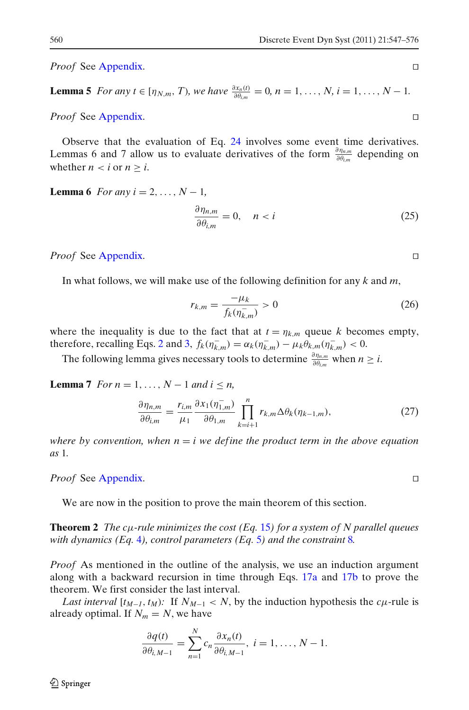<span id="page-13-0"></span>*Proof* See [Appendix.](#page-23-0) □

**Lemma 5** *For any t* ∈ [ $\eta_{N,m}$ , *T*)*, we have*  $\frac{\partial x_n(t)}{\partial \theta_{i,m}} = 0$ *, n* = 1*,...*, *N, i* = 1*,...*, *N* − 1*.* 

*Proof* See [Appendix.](#page-23-0) □

Observe that the evaluation of Eq. [24](#page-12-0) involves some event time derivatives. Lemmas 6 and 7 allow us to evaluate derivatives of the form  $\frac{\partial \eta_{n,m}}{\partial \theta_{i,m}}$  depending on whether  $n < i$  or  $n \ge i$ .

**Lemma 6** *For any*  $i = 2, ..., N - 1$ ,

$$
\frac{\partial \eta_{n,m}}{\partial \theta_{i,m}} = 0, \quad n < i \tag{25}
$$

*Proof* See [Appendix.](#page-23-0) 

In what follows, we will make use of the following definition for any *k* and *m*,

$$
r_{k,m} = \frac{-\mu_k}{f_k(\eta_{k,m}^-)} > 0
$$
\n(26)

where the inequality is due to the fact that at  $t = \eta_{k,m}$  queue *k* becomes empty, therefore, recalling Eqs. [2](#page-4-0) and [3,](#page-4-0)  $f_k(\eta_{k,m}^-) = \alpha_k(\eta_{k,m}^-) - \mu_k \theta_{k,m}(\eta_{k,m}^-) < 0$ .

The following lemma gives necessary tools to determine  $\frac{\partial \eta_{n,m}}{\partial \theta_{i,m}}$  when  $n \geq i$ .

**Lemma 7** *For n* = 1, ...,  $N - 1$  *and*  $i \le n$ ,

$$
\frac{\partial \eta_{n,m}}{\partial \theta_{i,m}} = \frac{r_{i,m}}{\mu_1} \frac{\partial x_1(\eta_{1,m}^-)}{\partial \theta_{1,m}} \prod_{k=i+1}^n r_{k,m} \Delta \theta_k(\eta_{k-1,m}),\tag{27}
$$

*where by convention, when*  $n = i$  *we define the product term in the above equation as* 1*.*

*Proof* See [Appendix.](#page-23-0) 

We are now in the position to prove the main theorem of this section.

**Theorem 2** *The c*μ*-rule minimizes the cost (Eq.* [15](#page-6-0)*) for a system of N parallel queues with dynamics (Eq.* [4](#page-4-0)*), control parameters (Eq.* [5](#page-4-0)*) and the constraint* [8](#page-4-0)*.*

*Proof* As mentioned in the outline of the analysis, we use an induction argument along with a backward recursion in time through Eqs. [17a](#page-7-0) and [17b](#page-7-0) to prove the theorem. We first consider the last interval.

*Last interval*  $[t_{M-1}, t_M)$ : If  $N_{M-1} < N$ , by the induction hypothesis the  $c\mu$ -rule is already optimal. If  $N_m = N$ , we have

$$
\frac{\partial q(t)}{\partial \theta_{i,M-1}} = \sum_{n=1}^{N} c_n \frac{\partial x_n(t)}{\partial \theta_{i,M-1}}, i = 1, \dots, N-1.
$$

$$
\Box
$$

$$
\Box
$$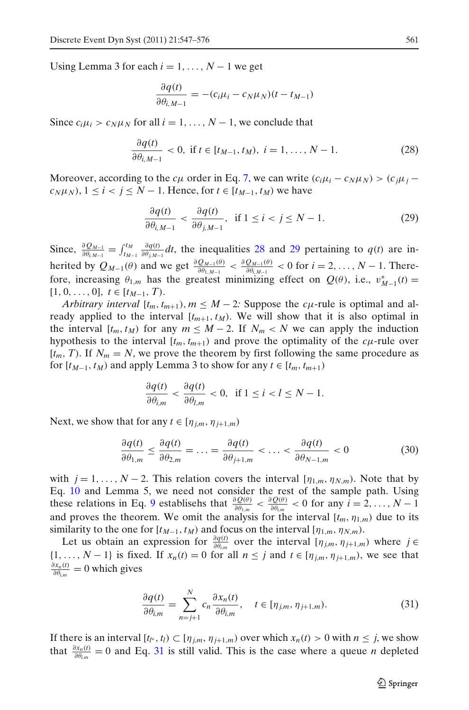<span id="page-14-0"></span>Using Lemma 3 for each  $i = 1, \ldots, N - 1$  we get

$$
\frac{\partial q(t)}{\partial \theta_{i,M-1}} = -(c_i \mu_i - c_N \mu_N)(t - t_{M-1})
$$

Since  $c_i \mu_i > c_N \mu_N$  for all  $i = 1, ..., N - 1$ , we conclude that

$$
\frac{\partial q(t)}{\partial \theta_{i,M-1}} < 0, \text{ if } t \in [t_{M-1}, t_M), \ i = 1, \dots, N-1. \tag{28}
$$

Moreover, according to the  $c\mu$  order in Eq. [7,](#page-4-0) we can write  $(c_i\mu_i - c_N\mu_j) > (c_i\mu_j - c_N\mu_j)$  $c_N \mu_N$ ,  $1 \le i \le j \le N-1$ . Hence, for  $t \in [t_{M-1}, t_M)$  we have

$$
\frac{\partial q(t)}{\partial \theta_{i,M-1}} < \frac{\partial q(t)}{\partial \theta_{j,M-1}}, \quad \text{if } 1 \le i < j \le N-1. \tag{29}
$$

Since,  $\frac{\partial Q_{M-1}}{\partial \theta_{i,M-1}} = \int_{t_{M-1}}^{t_M} \frac{\partial q(t)}{\partial \theta_{j,M-1}} dt$ , the inequalities 28 and 29 pertaining to  $q(t)$  are inherited by  $Q_{M-1}(\theta)$  and we get  $\frac{\partial Q_{M-1}(\theta)}{\partial \theta_{1,M-1}} < \frac{\partial Q_{M-1}(\theta)}{\partial \theta_{i,M-1}} < 0$  for  $i = 2, ..., N-1$ . Therefore, increasing  $\theta_{1,m}$  has the greatest minimizing effect on  $Q(\theta)$ , i.e.,  $v_{M-1}^*(t) =$  $[1, 0, \ldots, 0], t \in [t_{M-1}, T).$ 

*Arbitrary interval*  $[t_m, t_{m+1}), m \leq M - 2$ : Suppose the *c*<sub>μ</sub>-rule is optimal and already applied to the interval  $[t_{m+1}, t_M)$ . We will show that it is also optimal in the interval  $[t_m, t_M)$  for any  $m \leq M - 2$ . If  $N_m < N$  we can apply the induction hypothesis to the interval  $[t_m, t_{m+1})$  and prove the optimality of the  $c\mu$ -rule over  $[t_m, T)$ . If  $N_m = N$ , we prove the theorem by first following the same procedure as for  $[t_{M-1}, t_M)$  and apply Lemma 3 to show for any  $t \in [t_m, t_{m+1})$ 

$$
\frac{\partial q(t)}{\partial \theta_{i,m}} < \frac{\partial q(t)}{\partial \theta_{l,m}} < 0, \text{ if } 1 \le i < l \le N - 1.
$$

Next, we show that for any  $t \in [\eta_{im}, \eta_{i+1,m})$ 

$$
\frac{\partial q(t)}{\partial \theta_{1,m}} \le \frac{\partial q(t)}{\partial \theta_{2,m}} = \dots = \frac{\partial q(t)}{\partial \theta_{j+1,m}} < \dots < \frac{\partial q(t)}{\partial \theta_{N-1,m}} < 0 \tag{30}
$$

with  $j = 1, ..., N - 2$ . This relation covers the interval  $[\eta_{1,m}, \eta_{N,m})$ . Note that by Eq. [10](#page-5-0) and Lemma 5, we need not consider the rest of the sample path. Using these relations in Eq. [9](#page-5-0) establisehs that  $\frac{\partial Q(\theta)}{\partial \theta_{1,m}} < \frac{\partial Q(\theta)}{\partial \theta_{i,m}} < 0$  for any  $i = 2, ..., N - 1$ and proves the theorem. We omit the analysis for the interval  $[t_m, \eta_{1,m})$  due to its similarity to the one for  $[t_{M-1}, t_M)$  and focus on the interval  $[\eta_{1,m}, \eta_{N,m})$ .

Let us obtain an expression for  $\frac{\partial q(t)}{\partial \theta_{i,m}}$  over the interval  $[\eta_{j,m}, \eta_{j+1,m})$  where  $j \in$  $\{1, \ldots, N-1\}$  is fixed. If  $x_n(t) = 0$  for all  $n \leq j$  and  $t \in [\eta_{j,m}, \eta_{j+1,m})$ , we see that  $\frac{\partial x_n(t)}{\partial \theta_{i,m}} = 0$  which gives

$$
\frac{\partial q(t)}{\partial \theta_{i,m}} = \sum_{n=j+1}^{N} c_n \frac{\partial x_n(t)}{\partial \theta_{i,m}}, \quad t \in [\eta_{j,m}, \eta_{j+1,m}).
$$
\n(31)

If there is an interval  $[t_{l^*}, t_l) \subset [\eta_{j,m}, \eta_{j+1,m})$  over which  $x_n(t) > 0$  with  $n \leq j$ , we show that  $\frac{\partial x_n(t)}{\partial \theta_{i,m}} = 0$  and Eq. 31 is still valid. This is the case where a queue *n* depleted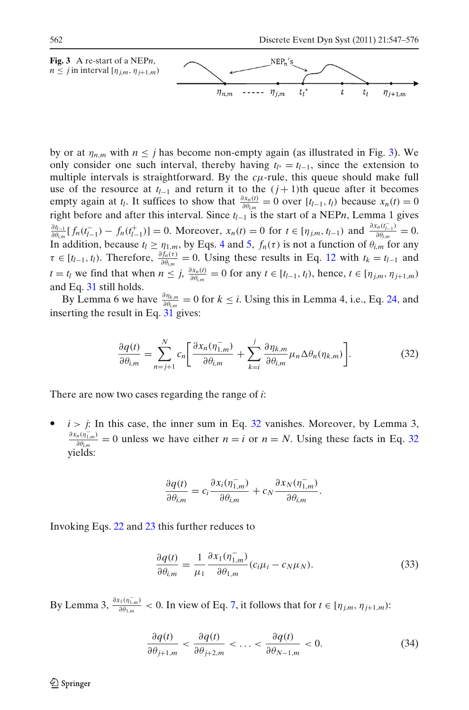<span id="page-15-0"></span>

by or at  $\eta_{n,m}$  with  $n \leq j$  has become non-empty again (as illustrated in Fig. 3). We only consider one such interval, thereby having  $t_{l^*} = t_{l-1}$ , since the extension to multiple intervals is straightforward. By the  $c\mu$ -rule, this queue should make full use of the resource at  $t_{l-1}$  and return it to the  $(j+1)$ th queue after it becomes empty again at *t<sub>l</sub>*. It suffices to show that  $\frac{\partial x_n(t)}{\partial \theta_{i,m}} = 0$  over  $[t_{l-1}, t_l)$  because  $x_n(t) = 0$ right before and after this interval. Since *tl*<sup>−</sup><sup>1</sup> is the start of a NEP*n*, Lemma 1 gives  $\frac{\partial t_{l-1}}{\partial \theta_{l,m}}[f_n(t_{l-1}^-) - f_n(t_{l-1}^+)] = 0$ . Moreover,  $x_n(t) = 0$  for  $t \in [\eta_{j,m}, t_{l-1}]$  and  $\frac{\partial x_n(t_{l-1}^-)}{\partial \theta_{l,m}} = 0$ . In addition, because  $t_l \geq \eta_{1,m}$ , by Eqs. [4](#page-4-0) and [5,](#page-4-0)  $f_n(\tau)$  is not a function of  $\theta_{i,m}$  for any  $\tau \in [t_{l-1}, t_l)$ . Therefore,  $\frac{\partial f_n(\tau)}{\partial \theta_{l,m}} = 0$ . Using these results in Eq. [12](#page-6-0) with  $t_k = t_{l-1}$  and  $t = t_l$  we find that when  $n \le j$ ,  $\frac{\partial x_n(t)}{\partial \theta_{i,m}} = 0$  for any  $t \in [t_{l-1}, t_l)$ , hence,  $t \in [\eta_{j,m}, \eta_{j+1,m})$ and Eq. [31](#page-14-0) still holds.

By Lemma 6 we have  $\frac{\partial \eta_{k,m}}{\partial \theta_{i,m}} = 0$  for  $k \le i$ . Using this in Lemma 4, i.e., Eq. [24,](#page-12-0) and inserting the result in Eq. [31](#page-14-0) gives:

$$
\frac{\partial q(t)}{\partial \theta_{i,m}} = \sum_{n=j+1}^{N} c_n \left[ \frac{\partial x_n(\eta_{1,m}^-)}{\partial \theta_{i,m}} + \sum_{k=i}^{j} \frac{\partial \eta_{k,m}}{\partial \theta_{i,m}} \mu_n \Delta \theta_n(\eta_{k,m}) \right].
$$
 (32)

There are now two cases regarding the range of *i*:

 $i > j$ : In this case, the inner sum in Eq. 32 vanishes. Moreover, by Lemma 3,  $\frac{\partial x_n(\eta_{1,m}^-)}{\partial \theta_{i,m}} = 0$  unless we have either *n* = *i* or *n* = *N*. Using these facts in Eq. 32 yields:

$$
\frac{\partial q(t)}{\partial \theta_{i,m}} = c_i \frac{\partial x_i(\eta_{1,m}^-)}{\partial \theta_{i,m}} + c_N \frac{\partial x_N(\eta_{1,m}^-)}{\partial \theta_{i,m}}.
$$

Invoking Eqs. [22](#page-12-0) and [23](#page-12-0) this further reduces to

$$
\frac{\partial q(t)}{\partial \theta_{i,m}} = \frac{1}{\mu_1} \frac{\partial x_1(\eta_{1,m}^-)}{\partial \theta_{1,m}} (c_i \mu_i - c_N \mu_N).
$$
 (33)

By Lemma 3,  $\frac{\partial x_1(\eta_{1,m})}{\partial \theta_{1,m}} < 0$ . In view of Eq. [7,](#page-4-0) it follows that for  $t \in [\eta_{j,m}, \eta_{j+1,m})$ :

$$
\frac{\partial q(t)}{\partial \theta_{j+1,m}} < \frac{\partial q(t)}{\partial \theta_{j+2,m}} < \ldots < \frac{\partial q(t)}{\partial \theta_{N-1,m}} < 0. \tag{34}
$$

 $\mathcal{D}$  Springer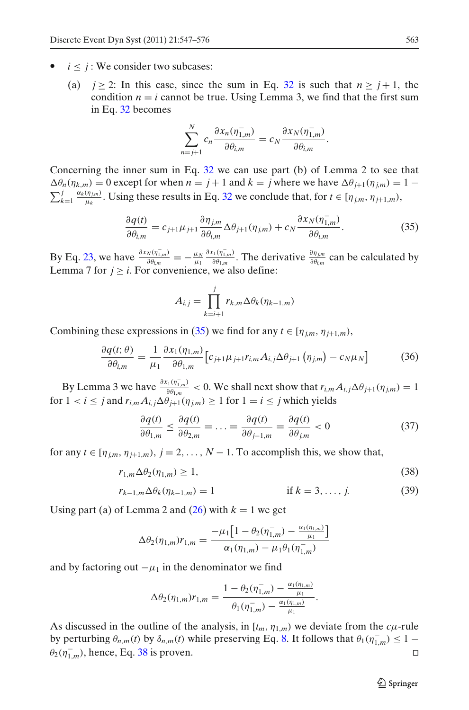- <span id="page-16-0"></span>•  $i < j$ : We consider two subcases:
	- (a)  $j \ge 2$ : In this case, since the sum in Eq. [32](#page-15-0) is such that  $n \ge j+1$ , the condition  $n = i$  cannot be true. Using Lemma 3, we find that the first sum in Eq. [32](#page-15-0) becomes

$$
\sum_{n=j+1}^{N} c_n \frac{\partial x_n(\eta_{1,m}^-)}{\partial \theta_{i,m}} = c_N \frac{\partial x_N(\eta_{1,m}^-)}{\partial \theta_{i,m}}.
$$

Concerning the inner sum in Eq. [32](#page-15-0) we can use part (b) of Lemma 2 to see that  $\Delta\theta_n(\eta_{k,m}) = 0$  except for when  $n = j + 1$  and  $k = j$  where we have  $\Delta\theta_{j+1}(\eta_{j,m}) = 1 - j$  $\sum_{k=1}^{j} \frac{\alpha_k(\eta_{j,m})}{\mu_k}$ . Using these results in Eq. [32](#page-15-0) we conclude that, for *t* ∈ [ $\eta_{j,m}, \eta_{j+1,m}$ ),

$$
\frac{\partial q(t)}{\partial \theta_{i,m}} = c_{j+1} \mu_{j+1} \frac{\partial \eta_{j,m}}{\partial \theta_{i,m}} \Delta \theta_{j+1}(\eta_{j,m}) + c_N \frac{\partial x_N(\eta_{1,m}^-)}{\partial \theta_{i,m}}.
$$
(35)

By Eq. [23,](#page-12-0) we have  $\frac{\partial x_N(\eta_{1,m}^-)}{\partial \theta_{i,m}} = -\frac{\mu_N}{\mu_1}$  $\frac{\partial x_1(\eta_{1,m}^-\)}{\partial \theta_{1,m}}$ . The derivative  $\frac{\partial \eta_{j,m}}{\partial \theta_{i,m}}$  can be calculated by Lemma 7 for  $j \geq i$ . For convenience, we also define:

$$
A_{i,j} = \prod_{k=i+1}^{j} r_{k,m} \Delta \theta_k(\eta_{k-1,m})
$$

Combining these expressions in (35) we find for any  $t \in [\eta_{j,m}, \eta_{j+1,m})$ ,

$$
\frac{\partial q(t;\theta)}{\partial \theta_{i,m}} = \frac{1}{\mu_1} \frac{\partial x_1(\eta_{1,m})}{\partial \theta_{1,m}} \left[ c_{j+1} \mu_{j+1} r_{i,m} A_{i,j} \Delta \theta_{j+1} \left( \eta_{j,m} \right) - c_N \mu_N \right]
$$
(36)

By Lemma 3 we have  $\frac{\partial x_1(\eta_{1,m}^*)}{\partial \theta_{1,m}} < 0$ . We shall next show that  $r_{i,m} A_{i,j} \Delta \theta_{j+1}(\eta_{j,m}) = 1$ for  $1 < i \leq j$  and  $r_{i,m}A_{i,j}\Delta\theta_{i+1}(\eta_{i,m}) \geq 1$  for  $1 = i \leq j$  which yields

$$
\frac{\partial q(t)}{\partial \theta_{1,m}} \le \frac{\partial q(t)}{\partial \theta_{2,m}} = \dots = \frac{\partial q(t)}{\partial \theta_{j-1,m}} = \frac{\partial q(t)}{\partial \theta_{j,m}} < 0 \tag{37}
$$

for any  $t \in [\eta_{jm}, \eta_{j+1,m}), j = 2, \ldots, N - 1$ . To accomplish this, we show that,

$$
r_{1,m}\Delta\theta_2(\eta_{1,m})\geq 1,\tag{38}
$$

$$
r_{k-1,m} \Delta \theta_k (\eta_{k-1,m}) = 1 \qquad \text{if } k = 3, ..., j. \tag{39}
$$

Using part (a) of Lemma 2 and  $(26)$  with  $k = 1$  we get

$$
\Delta \theta_2(\eta_{1,m}) r_{1,m} = \frac{-\mu_1 \left[1 - \theta_2(\eta_{1,m}^-) - \frac{\alpha_1(\eta_{1,m})}{\mu_1}\right]}{\alpha_1(\eta_{1,m}) - \mu_1 \theta_1(\eta_{1,m}^-)}
$$

and by factoring out  $-\mu_1$  in the denominator we find

$$
\Delta \theta_2(\eta_{1,m}) r_{1,m} = \frac{1 - \theta_2(\eta_{1,m}^-) - \frac{\alpha_1(\eta_{1,m})}{\mu_1}}{\theta_1(\eta_{1,m}^-) - \frac{\alpha_1(\eta_{1,m})}{\mu_1}}.
$$

As discussed in the outline of the analysis, in  $[t_m, \eta_{1,m})$  we deviate from the  $c\mu$ -rule by perturbing  $\theta_{n,m}(t)$  by  $\delta_{n,m}(t)$  while preserving Eq. [8.](#page-4-0) It follows that  $\theta_1(\eta_{1,m}^-) \leq 1 \theta_2(\eta_{1,m}^-)$ , hence, Eq. 38 is proven.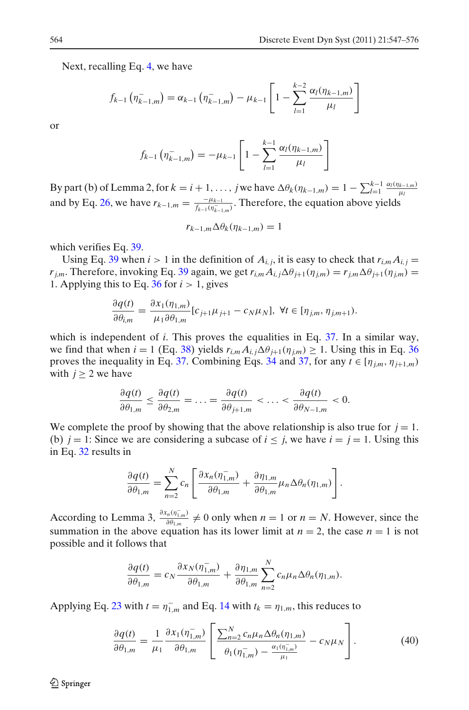<span id="page-17-0"></span>Next, recalling Eq. [4,](#page-4-0) we have

$$
f_{k-1}(\eta_{k-1,m}^-) = \alpha_{k-1}(\eta_{k-1,m}^-) - \mu_{k-1} \left[ 1 - \sum_{l=1}^{k-2} \frac{\alpha_l(\eta_{k-1,m})}{\mu_l} \right]
$$

or

$$
f_{k-1}(\eta_{k-1,m}^-) = -\mu_{k-1} \left[ 1 - \sum_{l=1}^{k-1} \frac{\alpha_l(\eta_{k-1,m})}{\mu_l} \right]
$$

By part (b) of Lemma 2, for  $k = i + 1, ..., j$  we have  $\Delta \theta_k(\eta_{k-1,m}) = 1 - \sum_{l=1}^{k-1} \frac{\alpha_l(\eta_{k-1,m})}{\mu_l}$ μ*l* and by Eq. [26,](#page-13-0) we have  $r_{k-1,m} = \frac{-\mu_{k-1}}{f_{k-1}(\eta_{k-1,m}^-)}$ . Therefore, the equation above yields

$$
r_{k-1,m}\Delta\theta_k(\eta_{k-1,m})=1
$$

which verifies Eq. [39.](#page-16-0)

Using Eq. [39](#page-16-0) when  $i > 1$  in the definition of  $A_{i,j}$ , it is easy to check that  $r_{i,m}A_{i,j} =$ *r*<sub>*i,m*</sub>. Therefore, invoking Eq. [39](#page-16-0) again, we get  $r_{i,m}A_{i,j}\Delta\theta_{j+1}(\eta_{j,m})=r_{j,m}\Delta\theta_{j+1}(\eta_{j,m})=$ 1. Applying this to Eq. [36](#page-16-0) for  $i > 1$ , gives

$$
\frac{\partial q(t)}{\partial \theta_{i,m}} = \frac{\partial x_1(\eta_{1,m})}{\mu_1 \partial \theta_{1,m}} [c_{j+1} \mu_{j+1} - c_N \mu_N], \ \forall t \in [\eta_{j,m}, \eta_{j,m+1}).
$$

which is independent of *i*. This proves the equalities in Eq. [37.](#page-16-0) In a similar way, we find that when  $i = 1$  (Eq. [38\)](#page-16-0) yields  $r_{i,m} A_{i,j} \Delta \theta_{j+1}(\eta_{j,m}) \geq 1$ . Using this in Eq. [36](#page-16-0) proves the inequality in Eq. [37.](#page-16-0) Combining Eqs. [34](#page-15-0) and [37,](#page-16-0) for any  $t \in [\eta_{j,m}, \eta_{j+1,m})$ with  $j \geq 2$  we have

$$
\frac{\partial q(t)}{\partial \theta_{1,m}} \leq \frac{\partial q(t)}{\partial \theta_{2,m}} = \ldots = \frac{\partial q(t)}{\partial \theta_{j+1,m}} < \ldots < \frac{\partial q(t)}{\partial \theta_{N-1,m}} < 0.
$$

We complete the proof by showing that the above relationship is also true for  $j = 1$ . (b)  $j = 1$ : Since we are considering a subcase of  $i \leq j$ , we have  $i = j = 1$ . Using this in Eq. [32](#page-15-0) results in

$$
\frac{\partial q(t)}{\partial \theta_{1,m}} = \sum_{n=2}^N c_n \left[ \frac{\partial x_n(\eta_{1,m}^-)}{\partial \theta_{1,m}} + \frac{\partial \eta_{1,m}}{\partial \theta_{1,m}} \mu_n \Delta \theta_n(\eta_{1,m}) \right].
$$

According to Lemma 3,  $\frac{\partial x_n(\eta_{1,m}^-)}{\partial \theta_{1,m}} \neq 0$  only when  $n = 1$  or  $n = N$ . However, since the summation in the above equation has its lower limit at  $n = 2$ , the case  $n = 1$  is not possible and it follows that

$$
\frac{\partial q(t)}{\partial \theta_{1,m}} = c_N \frac{\partial x_N(\eta_{1,m}^-)}{\partial \theta_{1,m}} + \frac{\partial \eta_{1,m}}{\partial \theta_{1,m}} \sum_{n=2}^N c_n \mu_n \Delta \theta_n(\eta_{1,m}).
$$

Applying Eq. [23](#page-12-0) with  $t = \eta_{1,m}^-$  and Eq. [14](#page-6-0) with  $t_k = \eta_{1,m}$ , this reduces to

$$
\frac{\partial q(t)}{\partial \theta_{1,m}} = \frac{1}{\mu_1} \frac{\partial x_1(\eta_{1,m}^-)}{\partial \theta_{1,m}} \left[ \frac{\sum_{n=2}^N c_n \mu_n \Delta \theta_n(\eta_{1,m})}{\theta_1(\eta_{1,m}^-) - \frac{\alpha_1(\eta_{1,m}^-)}{\mu_1}} - c_N \mu_N \right].
$$
 (40)

 $\mathcal{D}$  Springer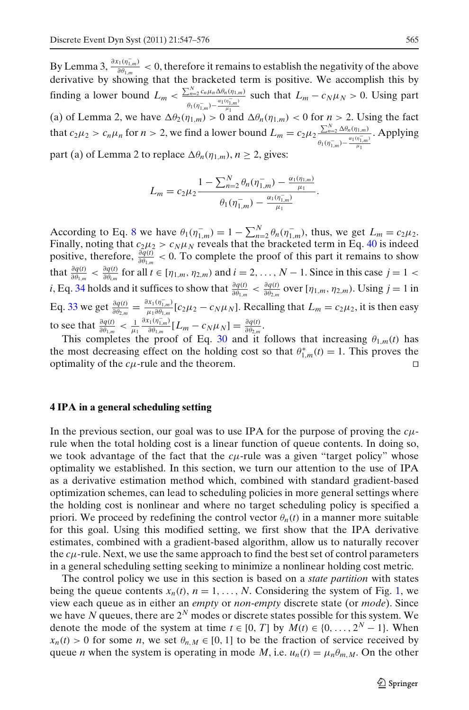<span id="page-18-0"></span>By Lemma 3,  $\frac{\partial x_1(\eta_{1,m})}{\partial \theta_{1,m}} < 0$ , therefore it remains to establish the negativity of the above derivative by showing that the bracketed term is positive. We accomplish this by finding a lower bound  $L_m < \frac{\sum_{n=2}^{N} c_n \mu_n \Delta \theta_n(\eta_{1,m})}{\alpha_1(\eta_{1,m})}$  $\theta_1(\eta_{1,m}^-) - \frac{\alpha_1(\eta_{1,m}^-)}{\mu_1}$ such that  $L_m - c_N \mu_N > 0$ . Using part (a) of Lemma 2, we have  $\Delta\theta_2(\eta_{1,m}) > 0$  and  $\Delta\theta_n(\eta_{1,m}) < 0$  for  $n > 2$ . Using the fact that  $c_2\mu_2 > c_n\mu_n$  for  $n > 2$ , we find a lower bound  $L_m = c_2\mu_2 \frac{\sum_{n=2}^{N} \Delta \theta_n(\eta_{1,m})}{\alpha_1(\eta_{1,m})}$  $\theta_1(\eta_{1,m}^-) - \frac{\alpha_1(\eta_{1,m}^-)}{\mu_1}$ . Applying part (a) of Lemma 2 to replace  $\Delta \theta_n(\eta_{1,m}), n \ge 2$ , gives:

$$
L_m = c_2 \mu_2 \frac{1 - \sum_{n=2}^{N} \theta_n(\eta_{1,m}^-) - \frac{\alpha_1(\eta_{1,m})}{\mu_1}}{\theta_1(\eta_{1,m}^-) - \frac{\alpha_1(\eta_{1,m}^-)}{\mu_1}}.
$$

According to Eq. [8](#page-4-0) we have  $\theta_1(\eta_{1,m}^-) = 1 - \sum_{n=2}^N \theta_n(\eta_{1,m}^-)$ , thus, we get  $L_m = c_2 \mu_2$ . Finally, noting that  $c_2\mu_2 > c_N\mu_N$  reveals that the bracketed term in Eq. [40](#page-17-0) is indeed positive, therefore,  $\frac{\partial q(t)}{\partial \theta_{1,m}} < 0$ . To complete the proof of this part it remains to show that  $\frac{\partial q(t)}{\partial \theta_{1,m}} < \frac{\partial q(t)}{\partial \theta_{i,m}}$  for all  $t \in [\eta_{1,m}, \eta_{2,m})$  and  $i = 2, ..., N - 1$ . Since in this case  $j = 1 <$ *i*, Eq. [34](#page-15-0) holds and it suffices to show that  $\frac{\partial q(t)}{\partial \theta_{1,m}} < \frac{\partial q(t)}{\partial \theta_{2,m}}$  over [ $\eta_{1,m}, \eta_{2,m}$ ]. Using  $j = 1$  in Eq. [33](#page-15-0) we get  $\frac{\partial q(t)}{\partial \theta_{2,m}} = \frac{\partial x_1(\eta_{1,m})}{\mu_1 \partial \theta_{1,m}} [c_2 \mu_2 - c_N \mu_N]$ . Recalling that  $L_m = c_2 \mu_2$ , it is then easy to see that  $\frac{\partial q(t)}{\partial \theta_{1,m}} < \frac{1}{\mu_1}$  $\frac{\partial x_1(\eta_{1,m}^-)}{\partial \theta_{1,m}} [L_m - c_N \mu_N] = \frac{\partial q(t)}{\partial \theta_{2,m}}.$ 

This completes the proof of Eq. [30](#page-14-0) and it follows that increasing  $\theta_{1,m}(t)$  has the most decreasing effect on the holding cost so that  $\theta_{1,m}^*(t) = 1$ . This proves the optimality of the  $c\mu$ -rule and the theorem.

## **4 IPA in a general scheduling setting**

In the previous section, our goal was to use IPA for the purpose of proving the *c*μrule when the total holding cost is a linear function of queue contents. In doing so, we took advantage of the fact that the *c*μ-rule was a given "target policy" whose optimality we established. In this section, we turn our attention to the use of IPA as a derivative estimation method which, combined with standard gradient-based optimization schemes, can lead to scheduling policies in more general settings where the holding cost is nonlinear and where no target scheduling policy is specified a priori. We proceed by redefining the control vector  $\theta_n(t)$  in a manner more suitable for this goal. Using this modified setting, we first show that the IPA derivative estimates, combined with a gradient-based algorithm, allow us to naturally recover the  $c\mu$ -rule. Next, we use the same approach to find the best set of control parameters in a general scheduling setting seeking to minimize a nonlinear holding cost metric.

The control policy we use in this section is based on a *state partition* with states being the queue contents  $x_n(t)$ ,  $n = 1, \ldots, N$  $n = 1, \ldots, N$  $n = 1, \ldots, N$ . Considering the system of Fig. 1, we view each queue as in either an *empty* or *non-empty* discrete state (or *mode*). Since we have N queues, there are  $2^N$  modes or discrete states possible for this system. We denote the mode of the system at time  $t \in [0, T]$  by  $M(t) \in \{0, \ldots, 2^N - 1\}$ . When  $x_n(t) > 0$  for some *n*, we set  $\theta_{n,M} \in [0, 1]$  to be the fraction of service received by queue *n* when the system is operating in mode *M*, i.e.  $u_n(t) = \mu_n \theta_{m,M}$ . On the other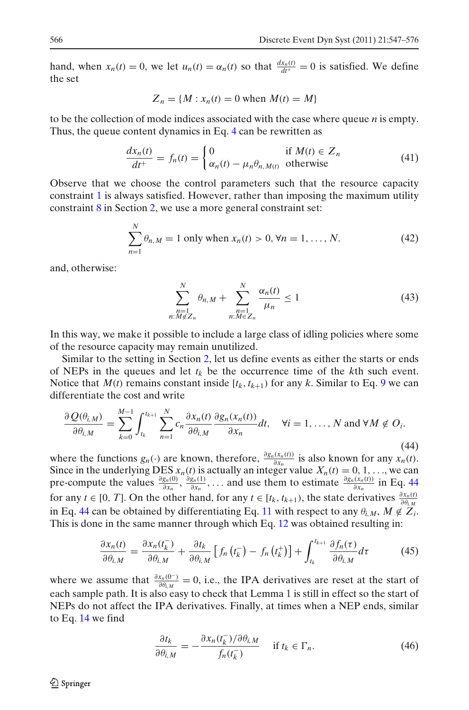<span id="page-19-0"></span>hand, when  $x_n(t) = 0$ , we let  $u_n(t) = \alpha_n(t)$  so that  $\frac{dx_n(t)}{dt^+} = 0$  is satisfied. We define the set

$$
Z_n = \{M : x_n(t) = 0 \text{ when } M(t) = M\}
$$

to be the collection of mode indices associated with the case where queue *n* is empty. Thus, the queue content dynamics in Eq. [4](#page-4-0) can be rewritten as

$$
\frac{dx_n(t)}{dt^+} = f_n(t) = \begin{cases} 0 & \text{if } M(t) \in Z_n \\ \alpha_n(t) - \mu_n \theta_{n,M(t)} & \text{otherwise} \end{cases}
$$
(41)

Observe that we choose the control parameters such that the resource capacity constraint [1](#page-3-0) is always satisfied. However, rather than imposing the maximum utility constraint [8](#page-4-0) in Section [2,](#page-2-0) we use a more general constraint set:

$$
\sum_{n=1}^{N} \theta_{n,M} = 1 \text{ only when } x_n(t) > 0, \forall n = 1, ..., N. \tag{42}
$$

and, otherwise:

$$
\sum_{\substack{n=1\\n:M \notin Z_n}}^N \theta_{n,M} + \sum_{\substack{n=1\\n:M \in Z_n}}^N \frac{\alpha_n(t)}{\mu_n} \le 1
$$
\n(43)

In this way, we make it possible to include a large class of idling policies where some of the resource capacity may remain unutilized.

Similar to the setting in Section [2,](#page-2-0) let us define events as either the starts or ends of NEPs in the queues and let  $t_k$  be the occurrence time of the  $k$ th such event. Notice that  $M(t)$  remains constant inside  $[t_k, t_{k+1})$  for any k. Similar to Eq. [9](#page-5-0) we can differentiate the cost and write

$$
\frac{\partial Q(\theta_{i,M})}{\partial \theta_{i,M}} = \sum_{k=0}^{M-1} \int_{t_k}^{t_{k+1}} \sum_{n=1}^{N} c_n \frac{\partial x_n(t)}{\partial \theta_{i,M}} \frac{\partial g_n(x_n(t))}{\partial x_n} dt, \quad \forall i = 1, ..., N \text{ and } \forall M \notin O_i.
$$
\n(44)

where the functions  $g_n(\cdot)$  are known, therefore,  $\frac{\partial g_n(x_n(t))}{\partial x_n}$  is also known for any  $x_n(t)$ . Since in the underlying DES  $x_n(t)$  is actually an integer value  $X_n(t) = 0, 1, \ldots$ , we can pre-compute the values  $\frac{\partial g_n(0)}{\partial x_n}$ ,  $\frac{\partial g_n(1)}{\partial x_n}$ ,... and use them to estimate  $\frac{\partial g_n(x_n(t))}{\partial x_n}$  in Eq. 44 for any *t* ∈ [0, *T*]. On the other hand, for any *t* ∈ [ $t_k$ ,  $t_{k+1}$ ), the state derivatives  $\frac{\partial x_n(t)}{\partial \theta_{i,M}}$ in Eq. 44 can be obtained by differentiating Eq. [11](#page-5-0) with respect to any  $\theta_{i,M}$ ,  $M \notin Z_i$ . This is done in the same manner through which Eq. [12](#page-6-0) was obtained resulting in:

$$
\frac{\partial x_n(t)}{\partial \theta_{i,M}} = \frac{\partial x_n(t_k^-)}{\partial \theta_{i,M}} + \frac{\partial t_k}{\partial \theta_{i,M}} \left[ f_n\left(t_k^- \right) - f_n\left(t_k^+ \right) \right] + \int_{t_k}^{t_{k+1}} \frac{\partial f_n(\tau)}{\partial \theta_{i,M}} d\tau \tag{45}
$$

where we assume that  $\frac{\partial x_n(0^-)}{\partial \theta_{i,M}} = 0$ , i.e., the IPA derivatives are reset at the start of each sample path. It is also easy to check that Lemma 1 is still in effect so the start of NEPs do not affect the IPA derivatives. Finally, at times when a NEP ends, similar to Eq. [14](#page-6-0) we find

$$
\frac{\partial t_k}{\partial \theta_{i,M}} = -\frac{\partial x_n(t_k^-)}{f_n(t_k^-)} \quad \text{if } t_k \in \Gamma_n. \tag{46}
$$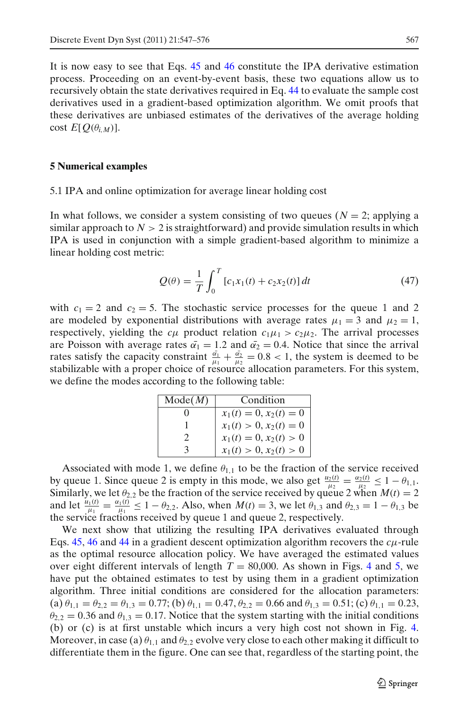It is now easy to see that Eqs. [45](#page-19-0) and [46](#page-19-0) constitute the IPA derivative estimation process. Proceeding on an event-by-event basis, these two equations allow us to recursively obtain the state derivatives required in Eq. [44](#page-19-0) to evaluate the sample cost derivatives used in a gradient-based optimization algorithm. We omit proofs that these derivatives are unbiased estimates of the derivatives of the average holding cost  $E[Q(\theta_{i,M})]$ .

#### **5 Numerical examples**

#### 5.1 IPA and online optimization for average linear holding cost

In what follows, we consider a system consisting of two queues ( $N = 2$ ; applying a similar approach to  $N > 2$  is straightforward) and provide simulation results in which IPA is used in conjunction with a simple gradient-based algorithm to minimize a linear holding cost metric:

$$
Q(\theta) = \frac{1}{T} \int_0^T [c_1 x_1(t) + c_2 x_2(t)] dt
$$
 (47)

with  $c_1 = 2$  and  $c_2 = 5$ . The stochastic service processes for the queue 1 and 2 are modeled by exponential distributions with average rates  $\mu_1 = 3$  and  $\mu_2 = 1$ , respectively, yielding the  $c\mu$  product relation  $c_1\mu_1 > c_2\mu_2$ . The arrival processes are Poisson with average rates  $\bar{\alpha_1} = 1.2$  and  $\bar{\alpha_2} = 0.4$ . Notice that since the arrival rates satisfy the capacity constraint  $\frac{\bar{a_1}}{\mu_1} + \frac{\bar{a_2}}{\mu_2} = 0.8 < 1$ , the system is deemed to be stabilizable with a proper choice of resource allocation parameters. For this system, we define the modes according to the following table:

| Mode(M) | Condition                                                                        |
|---------|----------------------------------------------------------------------------------|
|         |                                                                                  |
|         |                                                                                  |
|         | $x_1(t) = 0, x_2(t) = 0$<br>$x_1(t) > 0, x_2(t) = 0$<br>$x_1(t) = 0, x_2(t) > 0$ |
|         | $x_1(t) > 0, x_2(t) > 0$                                                         |

Associated with mode 1, we define  $\theta_{1,1}$  to be the fraction of the service received by queue 1. Since queue 2 is empty in this mode, we also get  $\frac{u_2(t)}{\mu_2} = \frac{\alpha_2(t)}{\mu_2} \le 1 - \theta_{1,1}$ . Similarly, we let  $\theta_{2,2}$  be the fraction of the service received by queue 2 when  $M(t) = 2$ and let  $\frac{u_1(t)}{t^{\mu_1}} = \frac{\alpha_1(t)}{\mu_1} \le 1 - \theta_{2,2}$ . Also, when  $M(t) = 3$ , we let  $\theta_{1,3}$  and  $\theta_{2,3} = 1 - \theta_{1,3}$  be the service fractions received by queue 1 and queue 2, respectively.

We next show that utilizing the resulting IPA derivatives evaluated through Eqs.  $45$ ,  $46$  and  $44$  in a gradient descent optimization algorithm recovers the  $c\mu$ -rule as the optimal resource allocation policy. We have averaged the estimated values over eight different intervals of length  $T = 80,000$ . As shown in Figs. [4](#page-21-0) and [5,](#page-21-0) we have put the obtained estimates to test by using them in a gradient optimization algorithm. Three initial conditions are considered for the allocation parameters: (a)  $\theta_{1,1} = \theta_{2,2} = \theta_{1,3} = 0.77$ ; (b)  $\theta_{1,1} = 0.47$ ,  $\theta_{2,2} = 0.66$  and  $\theta_{1,3} = 0.51$ ; (c)  $\theta_{1,1} = 0.23$ ,  $\theta_{2,2} = 0.36$  and  $\theta_{1,3} = 0.17$ . Notice that the system starting with the initial conditions (b) or (c) is at first unstable which incurs a very high cost not shown in Fig. [4.](#page-21-0) Moreover, in case (a)  $\theta_{1,1}$  and  $\theta_{2,2}$  evolve very close to each other making it difficult to differentiate them in the figure. One can see that, regardless of the starting point, the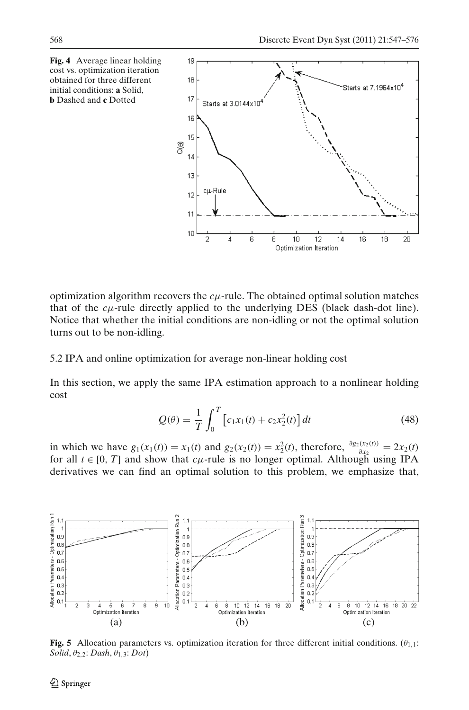<span id="page-21-0"></span>

optimization algorithm recovers the  $c\mu$ -rule. The obtained optimal solution matches that of the  $c\mu$ -rule directly applied to the underlying DES (black dash-dot line). Notice that whether the initial conditions are non-idling or not the optimal solution turns out to be non-idling.

5.2 IPA and online optimization for average non-linear holding cost

In this section, we apply the same IPA estimation approach to a nonlinear holding cost

$$
Q(\theta) = \frac{1}{T} \int_0^T \left[ c_1 x_1(t) + c_2 x_2^2(t) \right] dt
$$
 (48)

in which we have  $g_1(x_1(t)) = x_1(t)$  and  $g_2(x_2(t)) = x_2^2(t)$ , therefore,  $\frac{\partial g_2(x_2(t))}{\partial x_2} = 2x_2(t)$ for all  $t \in [0, T]$  and show that *c*<sub>μ</sub>-rule is no longer optimal. Although using IPA derivatives we can find an optimal solution to this problem, we emphasize that,



**Fig. 5** Allocation parameters vs. optimization iteration for three different initial conditions.  $(\theta_{1,1})$ : *Solid*, θ2,2: *Dash*, θ1,3: *Dot*)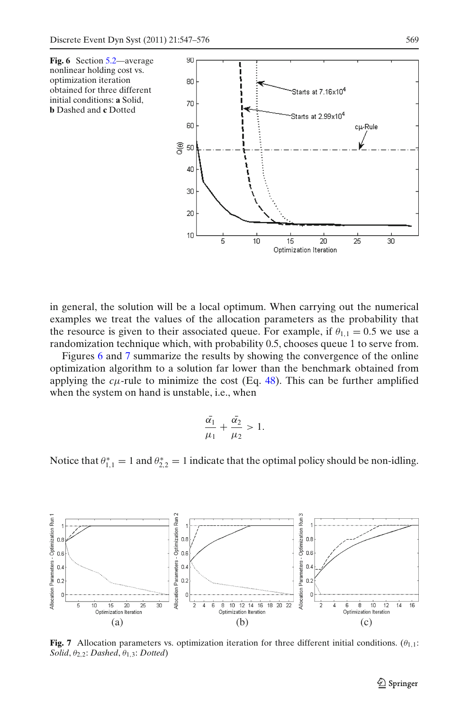

in general, the solution will be a local optimum. When carrying out the numerical examples we treat the values of the allocation parameters as the probability that the resource is given to their associated queue. For example, if  $\theta_{1,1} = 0.5$  we use a randomization technique which, with probability 0.5, chooses queue 1 to serve from.

Figures 6 and 7 summarize the results by showing the convergence of the online optimization algorithm to a solution far lower than the benchmark obtained from applying the  $c\mu$ -rule to minimize the cost (Eq. [48\)](#page-21-0). This can be further amplified when the system on hand is unstable, i.e., when

$$
\frac{\bar{\alpha_1}}{\mu_1} + \frac{\bar{\alpha_2}}{\mu_2} > 1.
$$

Notice that  $\theta_{1,1}^* = 1$  and  $\theta_{2,2}^* = 1$  indicate that the optimal policy should be non-idling.



**Fig. 7** Allocation parameters vs. optimization iteration for three different initial conditions.  $(\theta_{1,1})$ : *Solid*,  $θ_{2,2}$ *; Dashed*,  $θ_{1,3}$ *; Dotted*)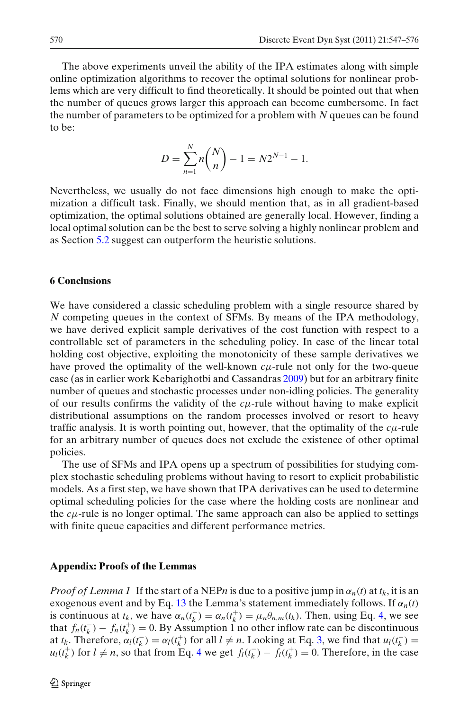<span id="page-23-0"></span>The above experiments unveil the ability of the IPA estimates along with simple online optimization algorithms to recover the optimal solutions for nonlinear problems which are very difficult to find theoretically. It should be pointed out that when the number of queues grows larger this approach can become cumbersome. In fact the number of parameters to be optimized for a problem with *N* queues can be found to be:

$$
D = \sum_{n=1}^{N} n \binom{N}{n} - 1 = N2^{N-1} - 1.
$$

Nevertheless, we usually do not face dimensions high enough to make the optimization a difficult task. Finally, we should mention that, as in all gradient-based optimization, the optimal solutions obtained are generally local. However, finding a local optimal solution can be the best to serve solving a highly nonlinear problem and as Section [5.2](#page-21-0) suggest can outperform the heuristic solutions.

#### **6 Conclusions**

We have considered a classic scheduling problem with a single resource shared by *N* competing queues in the context of SFMs. By means of the IPA methodology, we have derived explicit sample derivatives of the cost function with respect to a controllable set of parameters in the scheduling policy. In case of the linear total holding cost objective, exploiting the monotonicity of these sample derivatives we have proved the optimality of the well-known *c*μ-rule not only for the two-queue case (as in earlier work Kebarighotbi and Cassandra[s](#page-28-0) [2009\)](#page-28-0) but for an arbitrary finite number of queues and stochastic processes under non-idling policies. The generality of our results confirms the validity of the  $c\mu$ -rule without having to make explicit distributional assumptions on the random processes involved or resort to heavy traffic analysis. It is worth pointing out, however, that the optimality of the  $c\mu$ -rule for an arbitrary number of queues does not exclude the existence of other optimal policies.

The use of SFMs and IPA opens up a spectrum of possibilities for studying complex stochastic scheduling problems without having to resort to explicit probabilistic models. As a first step, we have shown that IPA derivatives can be used to determine optimal scheduling policies for the case where the holding costs are nonlinear and the  $c\mu$ -rule is no longer optimal. The same approach can also be applied to settings with finite queue capacities and different performance metrics.

#### **Appendix: Proofs of the Lemmas**

*Proof of Lemma 1* If the start of a NEP*n* is due to a positive jump in  $\alpha_n(t)$  at  $t_k$ , it is an exogenous event and by Eq. [13](#page-6-0) the Lemma's statement immediately follows. If  $\alpha_n(t)$ is continuous at  $t_k$ , we have  $\alpha_n(t_k^-) = \alpha_n(t_k^+) = \mu_n \theta_{n,m}(t_k)$ . Then, using Eq. [4,](#page-4-0) we see that  $f_n(t_k^-) - f_n(t_k^+) = 0$ . By Assumption 1 no other inflow rate can be discontinuous at  $t_k$ . Therefore,  $\alpha_l(t_k^-) = \alpha_l(t_k^+)$  for all  $l \neq n$ . Looking at Eq. [3,](#page-4-0) we find that  $u_l(t_k^-) =$ *u*<sub>l</sub>( $t_k^+$ ) for *l* ≠ *n*, so that from Eq. [4](#page-4-0) we get  $f_l(t_k^-) - f_l(t_k^+) = 0$ . Therefore, in the case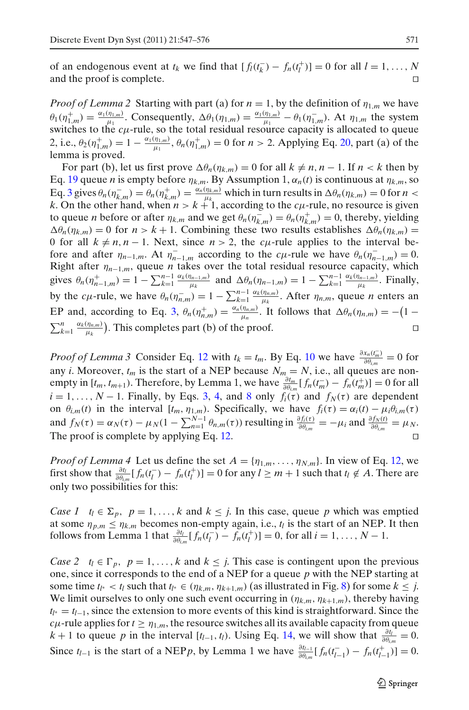of an endogenous event at  $t_k$  we find that  $[f_l(t_k^-) - f_n(t_l^+)] = 0$  for all  $l = 1, ..., N$ and the proof is complete. 

*Proof of Lemma 2* Starting with part (a) for  $n = 1$ , by the definition of  $\eta_{1,m}$  we have  $\theta_1(\eta_{1,m}^+) = \frac{\alpha_1(\eta_{1,m})}{\mu_1}$ . Consequently,  $\Delta\theta_1(\eta_{1,m}) = \frac{\alpha_1(\eta_{1,m})}{\mu_1} - \theta_1(\eta_{1,m}^-)$ . At  $\eta_{1,m}$  the system switches to the  $c\mu$ -rule, so the total residual resource capacity is allocated to queue 2, i.e.,  $\theta_2(\eta_{1,m}^+) = 1 - \frac{\alpha_1(\eta_{1,m})}{\mu_1}$ ,  $\theta_n(\eta_{1,m}^+) = 0$  for  $n > 2$ . Applying Eq. [20,](#page-12-0) part (a) of the lemma is proved.

For part (b), let us first prove  $\Delta \theta_n(\eta_{k,m}) = 0$  for all  $k \neq n, n - 1$ . If  $n < k$  then by Eq. [19](#page-11-0) queue *n* is empty before  $\eta_{k,m}$ . By Assumption 1,  $\alpha_n(t)$  is continuous at  $\eta_{k,m}$ , so Eq. [3](#page-4-0) gives  $\theta_n(\eta_{k,m}^-) = \theta_n(\eta_{k,m}^+) = \frac{\alpha_n(\eta_{k,m})}{\mu_k}$  which in turn results in  $\Delta \theta_n(\eta_{k,m}) = 0$  for  $n <$ *k*. On the other hand, when  $n > k + 1$ , according to the *c*<sub> $\mu$ </sub>-rule, no resource is given to queue *n* before or after  $\eta_{k,m}$  and we get  $\theta_n(\eta_{k,m}^-) = \theta_n(\eta_{k,m}^+) = 0$ , thereby, yielding  $\Delta \theta_n(\eta_{k,m}) = 0$  for  $n > k + 1$ . Combining these two results establishes  $\Delta \theta_n(\eta_{k,m}) =$ 0 for all  $k \neq n, n-1$ . Next, since  $n > 2$ , the *c*<sub> $\mu$ -rule applies to the interval be-</sub> fore and after  $\eta_{n-1,m}$ . At  $\eta_{n-1,m}^-$  according to the  $c\mu$ -rule we have  $\theta_n(\eta_{n-1,m}^-)=0$ . Right after  $\eta_{n-1,m}$ , queue *n* takes over the total residual resource capacity, which gives  $\theta_n(\eta^+_{n-1,m}) = 1 - \sum_{k=1}^{n-1} \frac{\alpha_k(\eta_{n-1,m})}{\mu_k}$  and  $\Delta \theta_n(\eta_{n-1,m}) = 1 - \sum_{k=1}^{n-1} \frac{\alpha_k(\eta_{n-1,m})}{\mu_k}$ . Finally, by the *c*<sub>μ</sub>-rule, we have  $\theta_n(\eta_{n,m}^-) = 1 - \sum_{k=1}^{n-1} \frac{\alpha_k(\eta_{n,m})}{\mu_k}$ . After  $\eta_{n,m}$ , queue *n* enters an EP and, according to Eq. [3,](#page-4-0)  $\theta_n(\eta_{n,m}^+) = \frac{\alpha_n(\eta_{n,m})}{\mu_n}$ . It follows that  $\Delta \theta_n(\eta_{n,m}) = -(1 - \frac{\alpha_n(\eta_{n,m})}{\mu_n})$  $\sum_{k=1}^{n} \frac{\alpha_k(\eta_{n,m})}{\mu_k}$  $\frac{u_{n,m}}{\mu_k}$ ). This completes part (b) of the proof.

*Proof of Lemma 3* Consider Eq. [12](#page-6-0) with  $t_k = t_m$ . By Eq. [10](#page-5-0) we have  $\frac{\partial x_n(t_m^-)}{\partial \theta_{i,m}} = 0$  for any *i*. Moreover,  $t_m$  is the start of a NEP because  $N_m = N$ , i.e., all queues are nonempty in  $[t_m, t_{m+1})$ . Therefore, by Lemma 1, we have  $\frac{\partial t_m}{\partial \theta_{i,m}} [f_n(t_m^-) - f_n(t_m^+)] = 0$  for all  $i = 1, \ldots, N - 1$ . Finally, by Eqs. [3,](#page-4-0) [4,](#page-4-0) and [8](#page-4-0) only  $f_i(\tau)$  and  $f_N(\tau)$  are dependent on  $\theta_{i,m}(t)$  in the interval  $[t_m, \eta_{1,m})$ . Specifically, we have  $f_i(\tau) = \alpha_i(t) - \mu_i \theta_{i,m}(\tau)$ and  $f_N(\tau) = \alpha_N(\tau) - \mu_N(1 - \sum_{n=1}^{N-1} \theta_{n,m}(\tau))$  resulting in  $\frac{\partial f_i(\tau)}{\partial \theta_{i,m}} = -\mu_i$  and  $\frac{\partial f_N(t)}{\partial \theta_{i,m}} = \mu_N$ . The proof is complete by applying Eq. [12.](#page-6-0)

*Proof of Lemma 4* Let us define the set  $A = \{\eta_{1,m}, \dots, \eta_{N,m}\}\)$ . In view of Eq. [12,](#page-6-0) we first show that  $\frac{\partial t_l}{\partial \theta_{l,m}} [f_n(t_l^-) - f_n(t_l^+)] = 0$  for any  $l \geq m + 1$  such that  $t_l \notin A$ . There are only two possibilities for this:

*Case 1*  $t_l \in \Sigma_p$ ,  $p = 1, \ldots, k$  and  $k \leq j$ . In this case, queue p which was emptied at some  $\eta_{p,m} \leq \eta_{k,m}$  becomes non-empty again, i.e.,  $t_l$  is the start of an NEP. It then follows from Lemma 1 that  $\frac{\partial t_l}{\partial \theta_{i,m}} [f_n(t_l^-) - f_n(t_l^+)] = 0$ , for all  $i = 1, ..., N - 1$ .

*Case 2*  $t_l \in \Gamma_p$ ,  $p = 1, ..., k$  and  $k \leq j$ . This case is contingent upon the previous one, since it corresponds to the end of a NEP for a queue *p* with the NEP starting at some time  $t_{l^*} < t_l$  such that  $t_{l^*} \in (\eta_{k,m}, \eta_{k+1,m})$  (as illustrated in Fig. [8\)](#page-25-0) for some  $k \leq j$ . We limit ourselves to only one such event occurring in  $(\eta_{k,m}, \eta_{k+1,m})$ , thereby having *tl*<sup>∗</sup> = *tl*<sup>−</sup>1, since the extension to more events of this kind is straightforward. Since the *c*μ-rule applies for  $t \ge \eta_{1,m}$ , the resource switches all its available capacity from queue  $k + 1$  to queue *p* in the interval  $[t_{l-1}, t_l)$ . Using Eq. [14,](#page-6-0) we will show that  $\frac{\partial t_l}{\partial \theta_{l,m}} = 0$ . Since  $t_{l-1}$  is the start of a NEP*p*, by Lemma 1 we have  $\frac{\partial t_{l-1}}{\partial \theta_{l,m}} [f_n(t_{l-1}^-) - f_n(t_{l-1}^+)] = 0$ .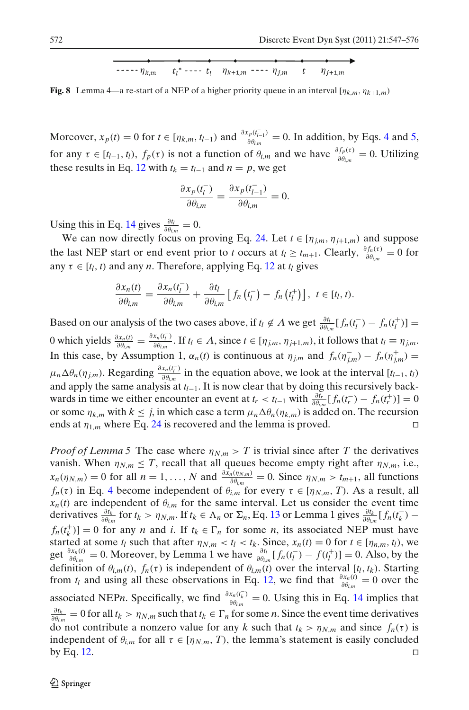$$
\cdots \qquad \qquad \overbrace{\qquad \qquad }^{r} \qquad \qquad \overbrace{\qquad \qquad }^{r} \qquad \qquad \overbrace{\qquad \qquad }^{r} \qquad \qquad \qquad }^{r} \qquad \qquad \overbrace{\qquad \qquad }^{r} \qquad \qquad \qquad }^{r} \qquad \qquad \overbrace{\qquad \qquad }^{r} \qquad \qquad \overbrace{\qquad \qquad }^{r} \qquad \qquad }^{r} \qquad \qquad \overbrace{\qquad \qquad }^{r} \qquad \qquad \overbrace{\qquad \qquad }^{r} \qquad \qquad }^{r} \qquad \qquad \overbrace{\qquad \qquad }^{r} \qquad \qquad }^{r} \qquad \qquad \overbrace{\qquad \qquad }^{r} \qquad \qquad }^{r} \qquad \qquad \overbrace{\qquad \qquad }^{r} \qquad \qquad }^{r} \qquad \qquad \overbrace{\qquad \qquad }^{r} \qquad \qquad }^{r} \qquad \qquad \overbrace{\qquad \qquad }^{r} \qquad \qquad }^{r} \qquad \qquad \overbrace{\qquad \qquad }^{r} \qquad \qquad }^{r} \qquad \qquad \overbrace{\qquad \qquad }^{r} \qquad \qquad }^{r} \qquad \qquad \overbrace{\qquad \qquad }^{r} \qquad \qquad }^{r} \qquad \qquad \overbrace{\qquad \qquad }^{r} \qquad \qquad }^{r} \qquad \qquad \overbrace{\qquad \qquad }^{r} \qquad \qquad }^{r} \qquad \qquad \overbrace{\qquad \qquad }^{r} \qquad \qquad }^{r} \qquad \qquad \overbrace{\qquad \qquad }^{r} \qquad \qquad }^{r} \qquad \qquad \overbrace{\qquad \qquad }^{r} \qquad \qquad }^{r} \qquad \qquad \overbrace{\qquad \qquad }^{r} \qquad \qquad }^{r} \qquad \qquad \overbrace{\qquad \qquad }^{r} \qquad \qquad }^{r} \qquad \qquad \overbrace{\qquad \qquad }^{r} \qquad \qquad }^{r} \qquad \qquad \overbrace{\qquad \qquad }^{r} \qquad \qquad }^{r} \qquad \qquad \overbrace{\qquad \qquad }^{r} \qquad \qquad }^{r} \qquad \qquad \overbrace{\qquad \qquad }^{r} \qquad \qquad }^{r} \qquad \qquad \over
$$

<span id="page-25-0"></span>**Fig. 8** Lemma 4—a re-start of a NEP of a higher priority queue in an interval  $[\eta_{k,m}, \eta_{k+1,m})$ 

Moreover,  $x_p(t) = 0$  for  $t \in [\eta_{k,m}, t_{l-1})$  and  $\frac{\partial x_p(t_{l-1})}{\partial \theta_{l,m}} = 0$ . In addition, by Eqs. [4](#page-4-0) and [5,](#page-4-0) for any  $\tau \in [t_{l-1}, t_l)$ ,  $f_p(\tau)$  is not a function of  $\theta_{i,m}$  and we have  $\frac{\partial f_p(\tau)}{\partial \theta_{i,m}} = 0$ . Utilizing these results in Eq. [12](#page-6-0) with  $t_k = t_{l-1}$  and  $n = p$ , we get

$$
\frac{\partial x_p(t_l^-)}{\partial \theta_{i,m}} = \frac{\partial x_p(t_{l-1}^-)}{\partial \theta_{i,m}} = 0.
$$

Using this in Eq. [14](#page-6-0) gives  $\frac{\partial t_l}{\partial \theta_{i,m}} = 0$ .

We can now directly focus on proving Eq. [24.](#page-12-0) Let  $t \in [\eta_{j,m}, \eta_{j+1,m})$  and suppose the last NEP start or end event prior to *t* occurs at  $t_l \ge t_{m+1}$ . Clearly,  $\frac{\partial f_n(\tau)}{\partial \theta_{l,m}} = 0$  for any  $\tau \in [t_l, t]$  and any *n*. Therefore, applying Eq. [12](#page-6-0) at  $t_l$  gives

$$
\frac{\partial x_n(t)}{\partial \theta_{i,m}} = \frac{\partial x_n(t_l^-)}{\partial \theta_{i,m}} + \frac{\partial t_l}{\partial \theta_{i,m}} \left[ f_n\left(t_l^-\right) - f_n\left(t_l^+\right) \right], \ t \in [t_l, t).
$$

Based on our analysis of the two cases above, if  $t_l \notin A$  we get  $\frac{\partial t_l}{\partial \theta_{i,m}} [f_n(t_l^-) - f_n(t_l^+)] =$ 0 which yields  $\frac{\partial x_n(t)}{\partial \theta_{i,m}} = \frac{\partial x_n(t)}{\partial \theta_{i,m}}$ . If  $t_l \in A$ , since  $t \in [\eta_{j,m}, \eta_{j+1,m})$ , it follows that  $t_l \equiv \eta_{j,m}$ . In this case, by Assumption 1,  $\alpha_n(t)$  is continuous at  $\eta_{j,m}$  and  $f_n(\eta_{j,m}^-) - f_n(\eta_{j,m}^+) =$  $\mu_n \Delta \theta_n(\eta_{j,m})$ . Regarding  $\frac{\partial x_n(t_i^-)}{\partial \theta_{i,m}}$  in the equation above, we look at the interval [*t*<sub>l−1</sub>, *t*<sub>l</sub>) and apply the same analysis at *tl*<sup>−</sup>1. It is now clear that by doing this recursively backwards in time we either encounter an event at  $t_r < t_{l-1}$  with  $\frac{\partial t_r}{\partial \theta_{i,m}}[f_n(t_r^-) - f_n(t_r^+)] = 0$ or some  $\eta_{k,m}$  with  $k \leq j$ , in which case a term  $\mu_n \Delta \theta_n(\eta_{k,m})$  is added on. The recursion ends at  $\eta_{1,m}$  where Eq. [24](#page-12-0) is recovered and the lemma is proved.

*Proof of Lemma 5* The case where  $\eta_{N,m} > T$  is trivial since after T the derivatives vanish. When  $\eta_{N,m} \leq T$ , recall that all queues become empty right after  $\eta_{N,m}$ , i.e.,  $x_n(\eta_{N,m}) = 0$  for all  $n = 1, ..., N$  and  $\frac{\partial x_n(\eta_{N,m})}{\partial \theta_{i,m}} = 0$ . Since  $\eta_{N,m} > t_{m+1}$ , all functions *f<sub>n</sub>*(τ) in Eq. [4](#page-4-0) become independent of  $\theta_{i,m}$  for every  $\tau \in [\eta_{N,m}, T]$ . As a result, all  $x_n(t)$  are independent of  $\theta_{i,m}$  for the same interval. Let us consider the event time derivatives  $\frac{\partial t_k}{\partial \theta_{i,m}}$  for  $t_k > \eta_{N,m}$ . If  $t_k \in \Lambda_n$  or  $\Sigma_n$ , Eq. [13](#page-6-0) or Lemma 1 gives  $\frac{\partial t_k}{\partial \theta_{i,m}}[f_n(t_k^-)$  $f_n(t_k^+)$  = 0 for any *n* and *i*. If  $t_k \in \Gamma_n$  for some *n*, its associated NEP must have started at some  $t_l$  such that after  $\eta_{N,m} < t_l < t_k$ . Since,  $x_n(t) = 0$  for  $t \in [\eta_{n,m}, t_l)$ , we get  $\frac{\partial x_n(t)}{\partial \theta_{i,m}} = 0$ . Moreover, by Lemma 1 we have  $\frac{\partial t_l}{\partial \theta_{i,m}}[f_n(t_l^-) - f(t_l^+)] = 0$ . Also, by the definition of  $\theta_{i,m}(t)$ ,  $f_n(\tau)$  is independent of  $\theta_{i,m}(t)$  over the interval  $[t_l, t_k)$ . Starting from *t<sub>l</sub>* and using all these observations in Eq. [12,](#page-6-0) we find that  $\frac{\partial x_n(t)}{\partial \theta_{i,m}} = 0$  over the associated NEP*n*. Specifically, we find  $\frac{\partial x_n(t_k^-)}{\partial \theta_{i,m}} = 0$ . Using this in Eq. [14](#page-6-0) implies that  $\frac{\partial t_k}{\partial \theta_{i,m}} = 0$  for all  $t_k > \eta_{N,m}$  such that  $t_k \in \Gamma_n$  for some *n*. Since the event time derivatives do not contribute a nonzero value for any *k* such that  $t_k > \eta_{N,m}$  and since  $f_n(\tau)$  is independent of  $\theta_{i,m}$  for all  $\tau \in [\eta_{N,m}, T)$ , the lemma's statement is easily concluded by Eq. [12.](#page-6-0)  $\Box$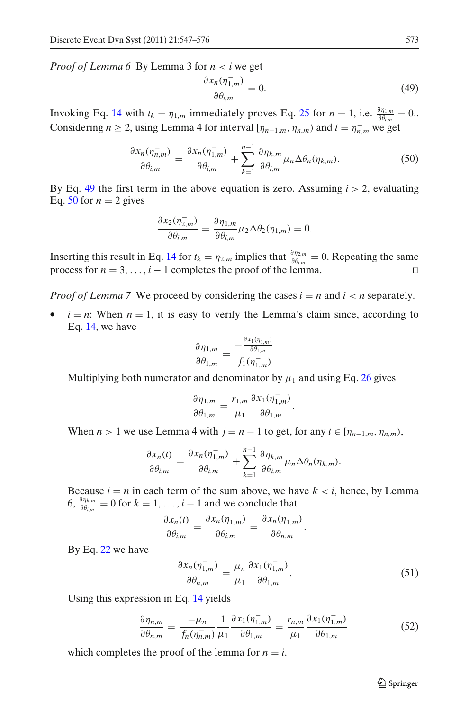<span id="page-26-0"></span>*Proof of Lemma 6* By Lemma 3 for *n* < *i* we get

$$
\frac{\partial x_n(\eta_{1,m}^-)}{\partial \theta_{i,m}} = 0.
$$
\n(49)

Invoking Eq. [14](#page-6-0) with  $t_k = \eta_{1,m}$  immediately proves Eq. [25](#page-13-0) for  $n = 1$ , i.e.  $\frac{\partial \eta_{1,m}}{\partial \theta_{i,m}} = 0$ . Considering *n* ≥ 2, using Lemma 4 for interval  $[\eta_{n-1,m}, \eta_{n,m})$  and  $t = \eta_{n,m}^-$  we get

$$
\frac{\partial x_n(\eta_{n,m}^-)}{\partial \theta_{i,m}} = \frac{\partial x_n(\eta_{1,m}^-)}{\partial \theta_{i,m}} + \sum_{k=1}^{n-1} \frac{\partial \eta_{k,m}}{\partial \theta_{i,m}} \mu_n \Delta \theta_n(\eta_{k,m}). \tag{50}
$$

By Eq. 49 the first term in the above equation is zero. Assuming  $i > 2$ , evaluating Eq. 50 for  $n = 2$  gives

$$
\frac{\partial x_2(\eta_{2,m}^-)}{\partial \theta_{i,m}} = \frac{\partial \eta_{1,m}}{\partial \theta_{i,m}} \mu_2 \Delta \theta_2(\eta_{1,m}) = 0.
$$

Inserting this result in Eq. [14](#page-6-0) for  $t_k = \eta_{2,m}$  implies that  $\frac{\partial \eta_{2,m}}{\partial \theta_{i,m}} = 0$ . Repeating the same process for  $n = 3, \ldots, i - 1$  completes the proof of the lemma.

*Proof of Lemma 7* We proceed by considering the cases  $i = n$  and  $i < n$  separately.

•  $i = n$ : When  $n = 1$ , it is easy to verify the Lemma's claim since, according to Eq. [14,](#page-6-0) we have

$$
\frac{\partial \eta_{1,m}}{\partial \theta_{1,m}} = \frac{-\frac{\partial x_1(\eta_{1,m}^-)}{\partial \theta_{1,m}}}{f_1(\eta_{1,m}^-)}
$$

Multiplying both numerator and denominator by  $\mu_1$  and using Eq. [26](#page-13-0) gives

$$
\frac{\partial \eta_{1,m}}{\partial \theta_{1,m}} = \frac{r_{1,m}}{\mu_1} \frac{\partial x_1(\eta_{1,m}^-)}{\partial \theta_{1,m}}.
$$

When  $n > 1$  we use Lemma 4 with  $j = n - 1$  to get, for any  $t \in [\eta_{n-1,m}, \eta_{n,m})$ ,

$$
\frac{\partial x_n(t)}{\partial \theta_{i,m}} = \frac{\partial x_n(\eta_{1,m}^-)}{\partial \theta_{i,m}} + \sum_{k=1}^{n-1} \frac{\partial \eta_{k,m}}{\partial \theta_{i,m}} \mu_n \Delta \theta_n(\eta_{k,m}).
$$

Because  $i = n$  in each term of the sum above, we have  $k \lt i$ , hence, by Lemma 6,  $\frac{\partial \eta_{k,m}}{\partial \theta_{i,m}} = 0$  for  $k = 1, \ldots, i - 1$  and we conclude that

$$
\frac{\partial x_n(t)}{\partial \theta_{i,m}} = \frac{\partial x_n(\eta_{1,m}^-)}{\partial \theta_{i,m}} = \frac{\partial x_n(\eta_{1,m}^-)}{\partial \theta_{n,m}}.
$$

By Eq. [22](#page-12-0) we have

$$
\frac{\partial x_n(\eta_{1,m}^-)}{\partial \theta_{n,m}} = \frac{\mu_n}{\mu_1} \frac{\partial x_1(\eta_{1,m}^-)}{\partial \theta_{1,m}}.
$$
\n(51)

Using this expression in Eq. [14](#page-6-0) yields

$$
\frac{\partial \eta_{n,m}}{\partial \theta_{n,m}} = \frac{-\mu_n}{f_n(\eta_{n,m}^-)} \frac{1}{\mu_1} \frac{\partial x_1(\eta_{1,m}^-)}{\partial \theta_{1,m}} = \frac{r_{n,m}}{\mu_1} \frac{\partial x_1(\eta_{1,m}^-)}{\partial \theta_{1,m}}
$$
(52)

which completes the proof of the lemma for  $n = i$ .

 $\mathcal{D}$  Springer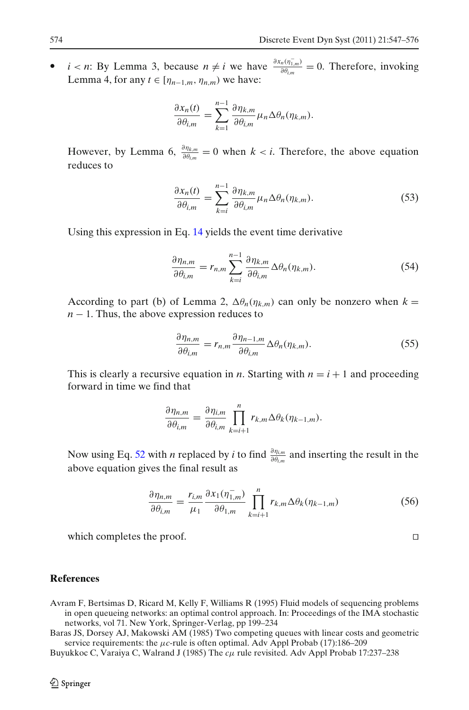<span id="page-27-0"></span> $\bullet$  *i* < *n*: By Lemma 3, because *n* ≠ *i* we have  $\frac{\partial x_n(\eta_{1,m}^-)}{\partial \theta_{i,m}} = 0$ . Therefore, invoking Lemma 4, for any  $t \in [\eta_{n-1,m}, \eta_{n,m})$  we have:

$$
\frac{\partial x_n(t)}{\partial \theta_{i,m}} = \sum_{k=1}^{n-1} \frac{\partial \eta_{k,m}}{\partial \theta_{i,m}} \mu_n \Delta \theta_n(\eta_{k,m}).
$$

However, by Lemma 6,  $\frac{\partial \eta_{k,m}}{\partial \theta_{i,m}} = 0$  when  $k < i$ . Therefore, the above equation reduces to

$$
\frac{\partial x_n(t)}{\partial \theta_{i,m}} = \sum_{k=i}^{n-1} \frac{\partial \eta_{k,m}}{\partial \theta_{i,m}} \mu_n \Delta \theta_n(\eta_{k,m}).
$$
\n(53)

Using this expression in Eq. [14](#page-6-0) yields the event time derivative

$$
\frac{\partial \eta_{n,m}}{\partial \theta_{i,m}} = r_{n,m} \sum_{k=i}^{n-1} \frac{\partial \eta_{k,m}}{\partial \theta_{i,m}} \Delta \theta_n(\eta_{k,m}).
$$
\n(54)

According to part (b) of Lemma 2,  $\Delta \theta_n(\eta_{k,m})$  can only be nonzero when  $k =$ *n* − 1. Thus, the above expression reduces to

$$
\frac{\partial \eta_{n,m}}{\partial \theta_{i,m}} = r_{n,m} \frac{\partial \eta_{n-1,m}}{\partial \theta_{i,m}} \Delta \theta_n(\eta_{k,m}).
$$
\n(55)

This is clearly a recursive equation in *n*. Starting with  $n = i + 1$  and proceeding forward in time we find that

$$
\frac{\partial \eta_{n,m}}{\partial \theta_{i,m}} = \frac{\partial \eta_{i,m}}{\partial \theta_{i,m}} \prod_{k=i+1}^{n} r_{k,m} \Delta \theta_k(\eta_{k-1,m}).
$$

Now using Eq. [52](#page-26-0) with *n* replaced by *i* to find  $\frac{\partial \eta_{i,m}}{\partial \theta_{i,m}}$  and inserting the result in the above equation gives the final result as

$$
\frac{\partial \eta_{n,m}}{\partial \theta_{i,m}} = \frac{r_{i,m}}{\mu_1} \frac{\partial x_1(\eta_{1,m}^-)}{\partial \theta_{1,m}} \prod_{k=i+1}^n r_{k,m} \Delta \theta_k(\eta_{k-1,m}) \tag{56}
$$

which completes the proof.

## **References**

- Avram F, Bertsimas D, Ricard M, Kelly F, Williams R (1995) Fluid models of sequencing problems in open queueing networks: an optimal control approach. In: Proceedings of the IMA stochastic networks, vol 71. New York, Springer-Verlag, pp 199–234
- Baras JS, Dorsey AJ, Makowski AM (1985) Two competing queues with linear costs and geometric service requirements: the μ*c*-rule is often optimal. Adv Appl Probab (17):186–209
- Buyukkoc C, Varaiya C, Walrand J (1985) The *c*μ rule revisited. Adv Appl Probab 17:237–238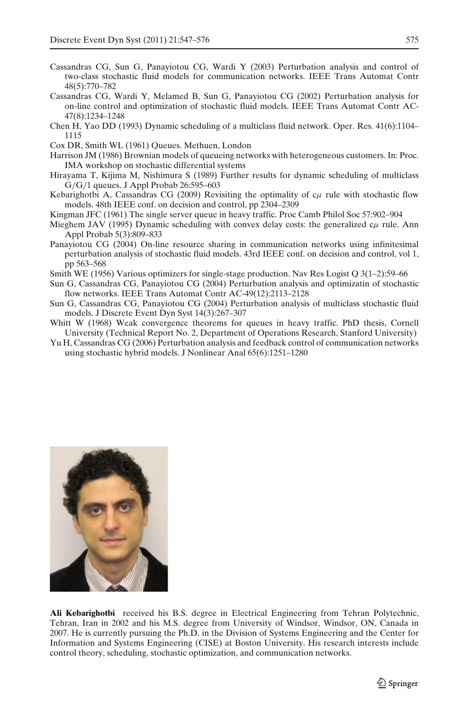- <span id="page-28-0"></span>Cassandras CG, Sun G, Panayiotou CG, Wardi Y (2003) Perturbation analysis and control of two-class stochastic fluid models for communication networks. IEEE Trans Automat Contr 48(5):770–782
- Cassandras CG, Wardi Y, Melamed B, Sun G, Panayiotou CG (2002) Perturbation analysis for on-line control and optimization of stochastic fluid models. IEEE Trans Automat Contr AC-47(8):1234–1248
- Chen H, Yao DD (1993) Dynamic scheduling of a multiclass fluid network. Oper. Res. 41(6):1104– 1115
- Cox DR, Smith WL (1961) Queues. Methuen, London
- Harrison JM (1986) Brownian models of queueing networks with heterogeneous customers. In: Proc. IMA workshop on stochastic differential systems
- Hirayama T, Kijima M, Nishimura S (1989) Further results for dynamic scheduling of multiclass G/G/1 queues. J Appl Probab 26:595–603
- Kebarighotbi A, Cassandras CG (2009) Revisiting the optimality of  $c\mu$  rule with stochastic flow models. 48th IEEE conf. on decision and control, pp 2304–2309
- Kingman JFC (1961) The single server queue in heavy traffic. Proc Camb Philol Soc 57:902–904
- Mieghem JAV (1995) Dynamic scheduling with convex delay costs: the generalized  $c\mu$  rule. Ann Appl Probab 5(3):809–833
- Panayiotou CG (2004) On-line resource sharing in communication networks using infinitesimal perturbation analysis of stochastic fluid models. 43rd IEEE conf. on decision and control, vol 1, pp 563–568
- Smith WE (1956) Various optimizers for single-stage production. Nav Res Logist Q 3(1–2):59–66
- Sun G, Cassandras CG, Panayiotou CG (2004) Perturbation analysis and optimizatin of stochastic flow networks. IEEE Trans Automat Contr AC-49(12):2113–2128
- Sun G, Cassandras CG, Panayiotou CG (2004) Perturbation analysis of multiclass stochastic fluid models. J Discrete Event Dyn Syst 14(3):267–307
- Whitt W (1968) Weak convergence theorems for queues in heavy traffic. PhD thesis, Cornell University (Technical Report No. 2, Department of Operations Research, Stanford University)
- Yu H, Cassandras CG (2006) Perturbation analysis and feedback control of communication networks using stochastic hybrid models. J Nonlinear Anal 65(6):1251–1280



**Ali Kebarighotbi** received his B.S. degree in Electrical Engineering from Tehran Polytechnic, Tehran, Iran in 2002 and his M.S. degree from University of Windsor, Windsor, ON, Canada in 2007. He is currently pursuing the Ph.D. in the Division of Systems Engineering and the Center for Information and Systems Engineering (CISE) at Boston University. His research interests include control theory, scheduling, stochastic optimization, and communication networks.